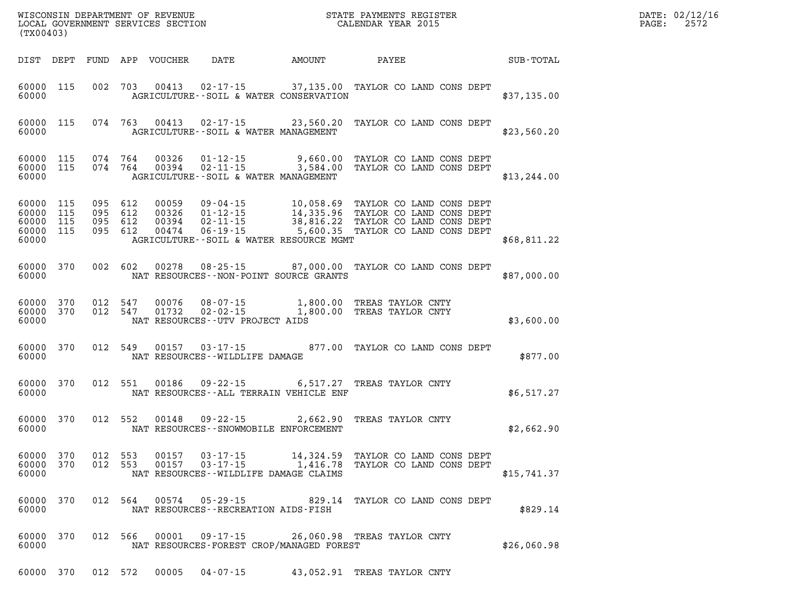| DATE: | 02/12/16 |
|-------|----------|
| PAGE: | 2572     |

| (TX00403)                                                 |           |                   |  |                                                                                                                                                                                                                                                                           |  | $\mathbb{R}^n$ | DATE: 02/12/1<br>2572<br>PAGE: |
|-----------------------------------------------------------|-----------|-------------------|--|---------------------------------------------------------------------------------------------------------------------------------------------------------------------------------------------------------------------------------------------------------------------------|--|----------------|--------------------------------|
|                                                           |           |                   |  |                                                                                                                                                                                                                                                                           |  |                |                                |
| 60000                                                     | 60000 115 |                   |  | 002 703 00413 02-17-15 37,135.00 TAYLOR CO LAND CONS DEPT<br>AGRICULTURE--SOIL & WATER CONSERVATION                                                                                                                                                                       |  | \$37,135.00    |                                |
| 60000                                                     |           |                   |  | 60000 115 074 763 00413 02-17-15 23,560.20 TAYLOR CO LAND CONS DEPT<br>AGRICULTURE--SOIL & WATER MANAGEMENT                                                                                                                                                               |  | \$23,560.20    |                                |
| 60000 115<br>60000 115<br>60000                           |           |                   |  | 074 764 00326 01-12-15 9,660.00 TAYLOR CO LAND CONS DEPT<br>074 764 00394 02-11-15 3,584.00 TAYLOR CO LAND CONS DEPT<br>AGRICULTURE--SOIL & WATER MANAGEMENT                                                                                                              |  | \$13, 244.00   |                                |
| 60000 115<br>60000 115<br>60000 115<br>60000 115<br>60000 |           |                   |  | 095 612 00059 09-04-15 10,058.69 TAYLOR CO LAND CONS DEPT 095 612 00326 01-12-15 14,335.96 TAYLOR CO LAND CONS DEPT 095 612 00394 02-11-15 38,816.22 TAYLOR CO LAND CONS DEPT 095 612 00474 06-19-15 5,600.35 TAYLOR CO LAND C<br>AGRICULTURE--SOIL & WATER RESOURCE MGMT |  | \$68,811.22    |                                |
| 60000                                                     | 60000 370 |                   |  | 002 602 00278 08-25-15 87,000.00 TAYLOR CO LAND CONS DEPT<br>NAT RESOURCES - - NON-POINT SOURCE GRANTS                                                                                                                                                                    |  | \$87,000.00    |                                |
| 60000 370<br>60000 370<br>60000                           |           |                   |  | 012 547 00076 08-07-15 1,800.00 TREAS TAYLOR CNTY<br>012 547 01732 02-02-15 1,800.00 TREAS TAYLOR CNTY<br>NAT RESOURCES--UTV PROJECT AIDS                                                                                                                                 |  | \$3,600.00     |                                |
| 60000                                                     | 60000 370 |                   |  | 012 549 00157 03-17-15 877.00 TAYLOR CO LAND CONS DEPT<br>NAT RESOURCES - - WILDLIFE DAMAGE                                                                                                                                                                               |  | \$877.00       |                                |
| 60000                                                     | 60000 370 |                   |  | 012 551 00186 09-22-15 6,517.27 TREAS TAYLOR CNTY<br>NAT RESOURCES--ALL TERRAIN VEHICLE ENF                                                                                                                                                                               |  | \$6,517.27     |                                |
| 60000                                                     |           | 60000 370 012 552 |  | 00148  09-22-15  2,662.90 TREAS TAYLOR CNTY<br>NAT RESOURCES - SNOWMOBILE ENFORCEMENT                                                                                                                                                                                     |  | \$2,662.90     |                                |
| 60000 370<br>60000                                        |           |                   |  | 60000 370 012 553 00157 03-17-15 14,324.59 TAYLOR CO LAND CONS DEPT<br>012 553 00157 03-17-15 1,416.78 TAYLOR CO LAND CONS DEPT<br>NAT RESOURCES--WILDLIFE DAMAGE CLAIMS                                                                                                  |  | \$15,741.37    |                                |
| 60000 370<br>60000                                        |           |                   |  | 012 564 00574 05-29-15 829.14 TAYLOR CO LAND CONS DEPT<br>NAT RESOURCES - - RECREATION AIDS - FISH                                                                                                                                                                        |  | \$829.14       |                                |
| 60000 370<br>60000                                        |           |                   |  | 012 566 00001 09-17-15 26,060.98 TREAS TAYLOR CNTY<br>NAT RESOURCES-FOREST CROP/MANAGED FOREST                                                                                                                                                                            |  | \$26,060.98    |                                |

**60000 370 012 572 00005 04-07-15 43,052.91 TREAS TAYLOR CNTY**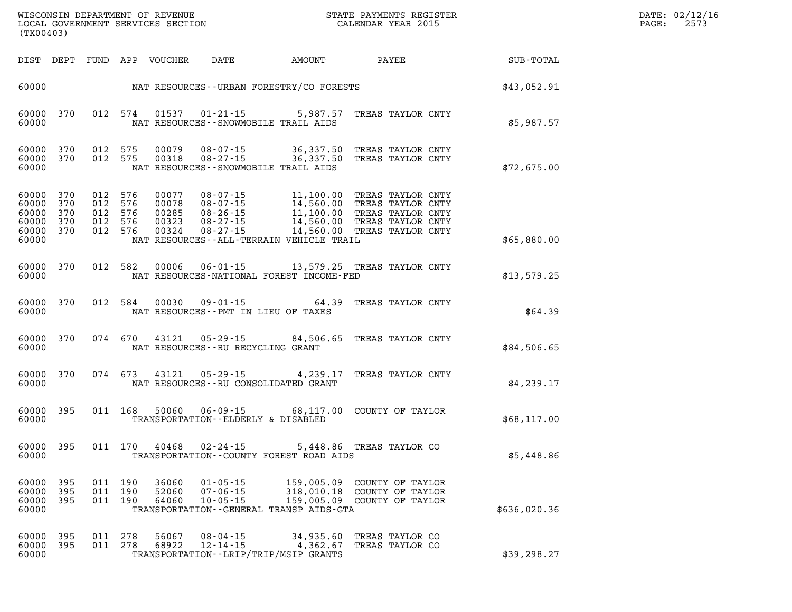| $\texttt{DATE}$ : | 02/12/16 |
|-------------------|----------|
| PAGE:             | 2573     |

|                                 | (TX00403)                                        |  |                                          |                        |                                               |                                                                                                                                                                                                                                                                                                                                                                                            |              | DATE: 02/12/1<br>PAGE:<br>2573 |
|---------------------------------|--------------------------------------------------|--|------------------------------------------|------------------------|-----------------------------------------------|--------------------------------------------------------------------------------------------------------------------------------------------------------------------------------------------------------------------------------------------------------------------------------------------------------------------------------------------------------------------------------------------|--------------|--------------------------------|
|                                 |                                                  |  |                                          |                        |                                               |                                                                                                                                                                                                                                                                                                                                                                                            |              |                                |
|                                 |                                                  |  |                                          |                        |                                               | 60000 MAT RESOURCES--URBAN FORESTRY/CO FORESTS                                                                                                                                                                                                                                                                                                                                             | \$43,052.91  |                                |
| 60000                           | 60000 370                                        |  |                                          |                        | NAT RESOURCES--SNOWMOBILE TRAIL AIDS          | 012 574 01537 01-21-15 5,987.57 TREAS TAYLOR CNTY                                                                                                                                                                                                                                                                                                                                          | \$5,987.57   |                                |
| 60000                           | 60000 370<br>60000 370                           |  |                                          |                        | NAT RESOURCES -- SNOWMOBILE TRAIL AIDS        | 012 575 00079 08-07-15 36,337.50 TREAS TAYLOR CNTY<br>012 575 00318 08-27-15 36,337.50 TREAS TAYLOR CNTY                                                                                                                                                                                                                                                                                   | \$72,675.00  |                                |
| 60000 370<br>60000              | 60000 370<br>60000 370<br>60000 370<br>60000 370 |  | 012 576<br>012 576<br>012 576<br>012 576 | 012 576 00324          | NAT RESOURCES - - ALL - TERRAIN VEHICLE TRAIL | 00077 08-07-15 11,100.00 TREAS TAYLOR CNTY<br>00078 08-07-15 14,560.00 TREAS TAYLOR CNTY<br>00285 08-26-15 11,100.00 TREAS TAYLOR CNTY<br>00323 08-27-15 14,560.00 TREAS TAYLOR CNTY<br>00324 08-27-15 14,560.00 TREAS TAYLOR CNTY                                                                                                                                                         | \$65,880.00  |                                |
| 60000                           | 60000 370                                        |  |                                          |                        | NAT RESOURCES-NATIONAL FOREST INCOME-FED      | 012 582 00006 06-01-15 13,579.25 TREAS TAYLOR CNTY                                                                                                                                                                                                                                                                                                                                         | \$13,579.25  |                                |
| 60000                           | 60000 370                                        |  | 012 584                                  |                        | NAT RESOURCES -- PMT IN LIEU OF TAXES         | 00030  09-01-15  64.39  TREAS TAYLOR CNTY                                                                                                                                                                                                                                                                                                                                                  | \$64.39      |                                |
| 60000                           | 60000 370                                        |  |                                          |                        | NAT RESOURCES--RU RECYCLING GRANT             | 074 670 43121 05-29-15 84,506.65 TREAS TAYLOR CNTY                                                                                                                                                                                                                                                                                                                                         | \$84,506.65  |                                |
| 60000                           | 60000 370                                        |  |                                          |                        | NAT RESOURCES--RU CONSOLIDATED GRANT          | 074 673 43121 05-29-15 4,239.17 TREAS TAYLOR CNTY                                                                                                                                                                                                                                                                                                                                          | \$4,239.17   |                                |
| 60000                           | 60000 395                                        |  |                                          |                        | TRANSPORTATION--ELDERLY & DISABLED            | 011 168 50060 06-09-15 68,117.00 COUNTY OF TAYLOR                                                                                                                                                                                                                                                                                                                                          | \$68,117.00  |                                |
|                                 | 60000 395                                        |  |                                          | 011 170 40468 02-24-15 |                                               | 5,448.86 TREAS TAYLOR CO<br>TRANSPORTATION--COUNTY FOREST ROAD AIDS                                                                                                                                                                                                                                                                                                                        | \$5,448.86   |                                |
| 60000 395<br>60000 395<br>60000 | 60000 395                                        |  |                                          |                        | TRANSPORTATION--GENERAL TRANSP AIDS-GTA       | $\begin{array}{cccc} 011 & 190 & 36060 & 01\textnormal{-}05\textnormal{-}15 & 159\textnormal{,}005.09 & \textnormal{COUNTY OF TAYLOR} \\ 011 & 190 & 52060 & 07\textnormal{-}06\textnormal{-}15 & 318\textnormal{,}010.18 & \textnormal{COUNTY OF TAYLOR} \\ 011 & 190 & 64060 & 10\textnormal{-}05\textnormal{-}15 & 159\textnormal{,}005.09 & \textnormal{COUNTY OF TAYLOR} \end{array}$ | \$636,020.36 |                                |
| 60000 395<br>60000 395<br>60000 |                                                  |  | 011 278                                  | 56067                  | TRANSPORTATION - - LRIP/TRIP/MSIP GRANTS      | 08-04-15 34,935.60 TREAS TAYLOR CO<br>011 278 68922 12-14-15 4,362.67 TREAS TAYLOR CO                                                                                                                                                                                                                                                                                                      | \$39,298.27  |                                |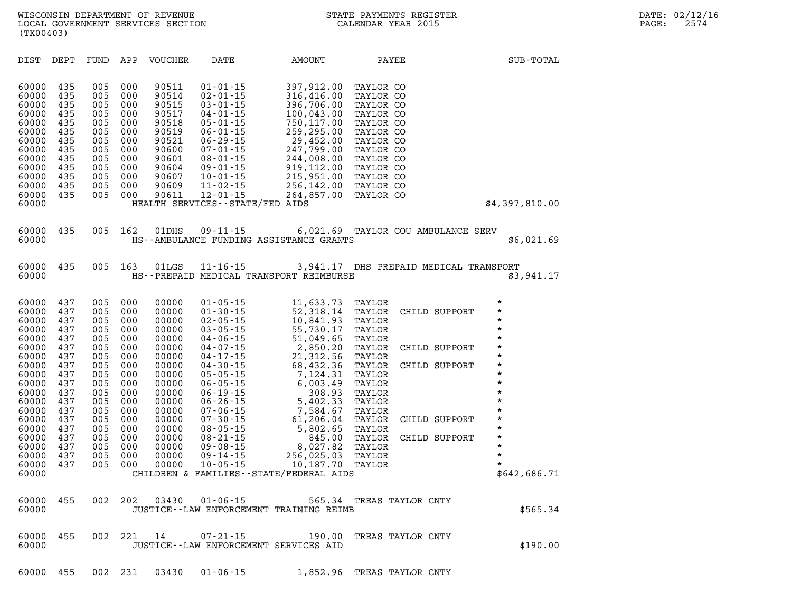| 60000          | 437 | 005 | 000 | 00000                 | $06 - 19 - 15$ | 308.93                                               | TAYLOR |                   | *            |
|----------------|-----|-----|-----|-----------------------|----------------|------------------------------------------------------|--------|-------------------|--------------|
| 60000          | 437 | 005 | 000 | 00000                 | $06 - 26 - 15$ | 5,402.33                                             | TAYLOR |                   | *            |
| 60000          | 437 | 005 | 000 | 00000                 | $07 - 06 - 15$ | 7,584.67                                             | TAYLOR |                   | $\star$      |
| 60000          | 437 | 005 | 000 | 00000                 | $07 - 30 - 15$ | 61,206.04                                            | TAYLOR | CHILD<br>SUPPORT  | $\star$      |
| 60000          | 437 | 005 | 000 | 00000                 | $08 - 05 - 15$ | 5,802.65                                             | TAYLOR |                   | $\star$      |
| 60000          | 437 | 005 | 000 | 00000                 | $08 - 21 - 15$ | 845.00                                               | TAYLOR | CHILD<br>SUPPORT  | *            |
| 60000          | 437 | 005 | 000 | 00000                 | $09 - 08 - 15$ | 8,027.82                                             | TAYLOR |                   | $\star$      |
| 60000          | 437 | 005 | 000 | 00000                 | 09-14-15       | 256,025.03                                           | TAYLOR |                   | $\star$      |
| 60000          | 437 | 005 | 000 | 00000                 | $10 - 05 - 15$ | 10,187.70                                            | TAYLOR |                   | $\star$      |
| 60000          |     |     |     |                       |                | CHILDREN & FAMILIES - - STATE/FEDERAL AIDS           |        |                   | \$642,686.71 |
| 60000<br>60000 | 455 | 002 | 202 | 03430                 | $01 - 06 - 15$ | 565.34<br>JUSTICE - - LAW ENFORCEMENT TRAINING REIMB |        | TREAS TAYLOR CNTY | \$565.34     |
| 60000<br>60000 | 455 | 002 | 221 | 14<br>JUSTICE - - LAW | $07 - 21 - 15$ | 190.00<br>ENFORCEMENT SERVICES AID                   |        | TREAS TAYLOR CNTY | \$190.00     |

**60000 437 005 000 00000 06-05-15 6,003.49 TAYLOR \*** 

| 60000 |  |  | 60000 435 005 162 01DHS 09-11-15<br>HS--AMBULANCE FUNDING ASSISTANCE GRANTS | 6,021.69 TAYLOR COU AMBULANCE SERV     |  |  | \$6,021.69 |
|-------|--|--|-----------------------------------------------------------------------------|----------------------------------------|--|--|------------|
| 60000 |  |  | 60000 435 005 163 01LGS 11-16-15<br>HS--PREPAID MEDICAL TRANSPORT REIMBURSE | 3,941.17 DHS PREPAID MEDICAL TRANSPORT |  |  | \$3,941.17 |

| DIST                                                                                                                       | DEPT                                                                                    | FUND                                                                                    | APP                                                                                     | <b>VOUCHER</b>                                                                                                    | DATE                                                                                                                                                                                                                                                                    | AMOUNT                                                                                                                                                                                    | PAYEE                                                                                                                                                                 | SUB-TOTAL      |
|----------------------------------------------------------------------------------------------------------------------------|-----------------------------------------------------------------------------------------|-----------------------------------------------------------------------------------------|-----------------------------------------------------------------------------------------|-------------------------------------------------------------------------------------------------------------------|-------------------------------------------------------------------------------------------------------------------------------------------------------------------------------------------------------------------------------------------------------------------------|-------------------------------------------------------------------------------------------------------------------------------------------------------------------------------------------|-----------------------------------------------------------------------------------------------------------------------------------------------------------------------|----------------|
| 60000<br>60000<br>60000<br>60000<br>60000<br>60000<br>60000<br>60000<br>60000<br>60000<br>60000<br>60000<br>60000<br>60000 | 435<br>435<br>435<br>435<br>435<br>435<br>435<br>435<br>435<br>435<br>435<br>435<br>435 | 005<br>005<br>005<br>005<br>005<br>005<br>005<br>005<br>005<br>005<br>005<br>005<br>005 | 000<br>000<br>000<br>000<br>000<br>000<br>000<br>000<br>000<br>000<br>000<br>000<br>000 | 90511<br>90514<br>90515<br>90517<br>90518<br>90519<br>90521<br>90600<br>90601<br>90604<br>90607<br>90609<br>90611 | $01 - 01 - 15$<br>$02 - 01 - 15$<br>$03 - 01 - 15$<br>$04 - 01 - 15$<br>$05 - 01 - 15$<br>$06 - 01 - 15$<br>$06 - 29 - 15$<br>$07 - 01 - 15$<br>$08 - 01 - 15$<br>$09 - 01 - 15$<br>$10 - 01 - 15$<br>$11 - 02 - 15$<br>$12 - 01 - 15$<br>HEALTH SERVICES - - STATE/FED | 397,912.00<br>316,416.00<br>396,706.00<br>100,043.00<br>750,117.00<br>259,295.00<br>29,452.00<br>247,799.00<br>244,008.00<br>919,112.00<br>215,951.00<br>256,142.00<br>264,857.00<br>AIDS | TAYLOR CO<br>TAYLOR CO<br>TAYLOR CO<br>TAYLOR CO<br>TAYLOR CO<br>TAYLOR CO<br>TAYLOR CO<br>TAYLOR CO<br>TAYLOR CO<br>TAYLOR CO<br>TAYLOR CO<br>TAYLOR CO<br>TAYLOR CO | \$4,397,810.00 |

**60000 437 005 000 00000 01-05-15 11,633.73 TAYLOR \* 60000 437 005 000 00000 01-30-15 52,318.14 TAYLOR CHILD SUPPORT 60000 437 005 000 00000 02-05-15 10,841.93 TAYLOR 60000 437 005 000 00000 02-05-15 10,841.93 TAYLOR \* 60000 437 005 000 00000 03-05-15 55,730.17 TAYLOR \* 60000 437 005 000 00000 04-06-15 51,049.65 TAYLOR \* 60000 437 005 000 00000 04-07-15 2,850.20 TAYLOR CHILD SUPPORT \* 60000 437 005 000 00000 04-17-15 21,312.56 TAYLOR \* 60000 437 005 000 00000 04-30-15 68,432.36 TAYLOR CHILD SUPPORT \* 60000 437 005 000 00000 05-05-15 7,124.31 TAYLOR \*** 

**WISCONSIN DEPARTMENT OF REVENUE STATE PAYMENTS REGISTER DATE: 02/12/16**  LOCAL GOVERNMENT SERVICES SECTION **(TX00403)**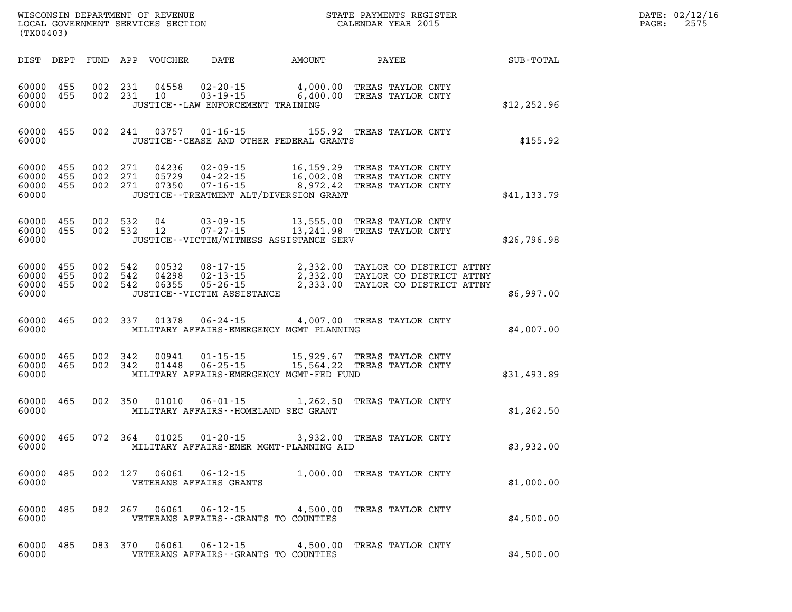| (TX00403)                                |            |                    |                    | WISCONSIN DEPARTMENT OF REVENUE<br>LOCAL GOVERNMENT SERVICES SECTION |                                                                                            |        | STATE PAYMENTS REGISTER<br>CALENDAR YEAR 2015                                                                                          |              | DATE: 02/12/16<br>2575<br>PAGE: |
|------------------------------------------|------------|--------------------|--------------------|----------------------------------------------------------------------|--------------------------------------------------------------------------------------------|--------|----------------------------------------------------------------------------------------------------------------------------------------|--------------|---------------------------------|
|                                          |            |                    |                    | DIST DEPT FUND APP VOUCHER                                           | DATE                                                                                       | AMOUNT | PAYEE                                                                                                                                  | SUB-TOTAL    |                                 |
| 60000 455<br>60000 455<br>60000          |            |                    | 002 231<br>002 231 | 04558<br>10                                                          | $02 - 20 - 15$ 4,000.00<br>$03 - 19 - 15$ 6,400.00<br>JUSTICE - - LAW ENFORCEMENT TRAINING |        | TREAS TAYLOR CNTY<br>TREAS TAYLOR CNTY                                                                                                 | \$12, 252.96 |                                 |
| 60000 455<br>60000                       |            |                    |                    |                                                                      | JUSTICE - - CEASE AND OTHER FEDERAL GRANTS                                                 |        | 002 241 03757 01-16-15 155.92 TREAS TAYLOR CNTY                                                                                        | \$155.92     |                                 |
| 60000 455<br>60000<br>60000<br>60000     | 455<br>455 | 002 271<br>002 271 | 002 271            | 04236<br>05729<br>07350                                              | 02-09-15<br>$07 - 16 - 15$ 8,972.42<br>JUSTICE - - TREATMENT ALT/DIVERSION GRANT           |        | 02-09-15 16,159.29 TREAS TAYLOR CNTY<br>04-22-15 16,002.08 TREAS TAYLOR CNTY<br>TREAS TAYLOR CNTY                                      | \$41,133.79  |                                 |
| 60000 455<br>60000 455<br>60000          |            |                    | 002 532<br>002 532 | 04<br>12                                                             | JUSTICE - - VICTIM/WITNESS ASSISTANCE SERV                                                 |        | 03-09-15 13,555.00 TREAS TAYLOR CNTY<br>07-27-15 13,241.98 TREAS TAYLOR CNTY                                                           | \$26,796.98  |                                 |
| 60000 455<br>60000<br>60000 455<br>60000 | 455        | 002 542            | 002 542<br>002 542 | 00532<br>04298<br>06355                                              | JUSTICE - - VICTIM ASSISTANCE                                                              |        | 08-17-15 2,332.00 TAYLOR CO DISTRICT ATTNY<br>02-13-15 2,332.00 TAYLOR CO DISTRICT ATTNY<br>05-26-15 2,333.00 TAYLOR CO DISTRICT ATTNY | \$6,997.00   |                                 |
| 60000 465<br>60000                       |            |                    | 002 337            | 01378                                                                | MILITARY AFFAIRS-EMERGENCY MGMT PLANNING                                                   |        | 06-24-15 4,007.00 TREAS TAYLOR CNTY                                                                                                    | \$4,007.00   |                                 |
| 60000 465<br>60000 465<br>60000          |            | 002 342            | 002 342            | 00941<br>01448                                                       | $01 - 15 - 15$<br>$06 - 25 - 15$<br>MILITARY AFFAIRS-EMERGENCY MGMT-FED FUND               |        | 15,929.67 TREAS TAYLOR CNTY<br>15,564.22 TREAS TAYLOR CNTY                                                                             | \$31,493.89  |                                 |
| 60000 465<br>60000                       |            |                    | 002 350            | 01010                                                                | 06-01-15<br>MILITARY AFFAIRS--HOMELAND SEC GRANT                                           |        | 1,262.50 TREAS TAYLOR CNTY                                                                                                             | \$1,262.50   |                                 |
| 60000 465<br>60000                       |            |                    | 072 364            | 01025                                                                | 01-20-15<br>MILITARY AFFAIRS-EMER MGMT-PLANNING AID                                        |        | 3,932.00 TREAS TAYLOR CNTY                                                                                                             | \$3,932.00   |                                 |
| 60000 485<br>60000                       |            |                    |                    |                                                                      | VETERANS AFFAIRS GRANTS                                                                    |        | 002 127 06061 06-12-15 1,000.00 TREAS TAYLOR CNTY                                                                                      | \$1,000.00   |                                 |
| 60000 485<br>60000                       |            |                    |                    |                                                                      | VETERANS AFFAIRS -- GRANTS TO COUNTIES                                                     |        | 082  267  06061  06-12-15  4,500.00  TREAS TAYLOR CNTY                                                                                 | \$4,500.00   |                                 |
| 60000 485<br>60000                       |            |                    |                    |                                                                      | VETERANS AFFAIRS -- GRANTS TO COUNTIES                                                     |        | 083 370 06061 06-12-15 4,500.00 TREAS TAYLOR CNTY                                                                                      | \$4,500.00   |                                 |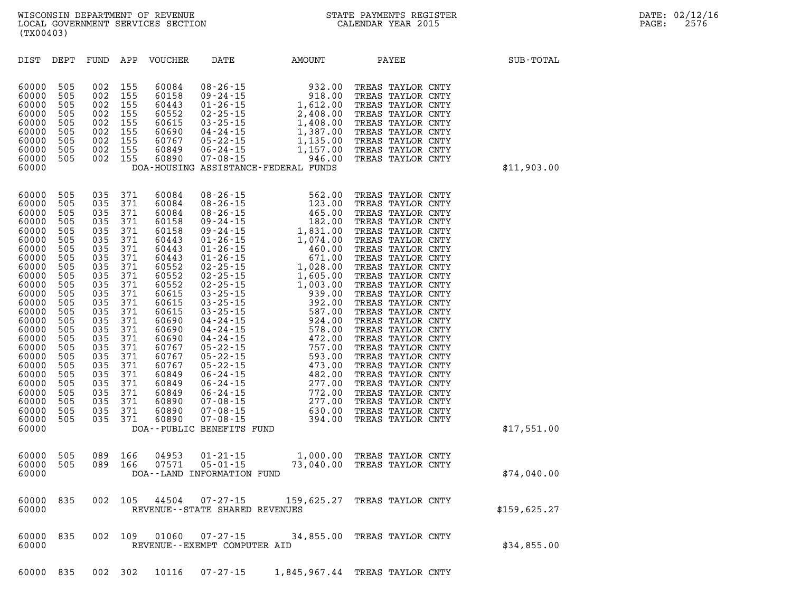| DIST                                                                                                                                                                                                                                            | DEPT                                                                                                                                                          | FUND                                                                                                                                                                                                      | APP                                                         | <b>VOUCHER</b>                                                                | DATE                                                | AMOUNT                                                                                                                                                                                                                                                                                                                    | PAYEE                                                                                                                                                                                                                                                                                                                                                                                                                                                                                                                                                          | SUB-TOTAL    |
|-------------------------------------------------------------------------------------------------------------------------------------------------------------------------------------------------------------------------------------------------|---------------------------------------------------------------------------------------------------------------------------------------------------------------|-----------------------------------------------------------------------------------------------------------------------------------------------------------------------------------------------------------|-------------------------------------------------------------|-------------------------------------------------------------------------------|-----------------------------------------------------|---------------------------------------------------------------------------------------------------------------------------------------------------------------------------------------------------------------------------------------------------------------------------------------------------------------------------|----------------------------------------------------------------------------------------------------------------------------------------------------------------------------------------------------------------------------------------------------------------------------------------------------------------------------------------------------------------------------------------------------------------------------------------------------------------------------------------------------------------------------------------------------------------|--------------|
| 60000<br>60000<br>60000<br>60000<br>60000<br>60000<br>60000<br>60000<br>60000<br>60000                                                                                                                                                          | 505<br>505<br>505<br>505<br>505<br>505<br>505                                                                                                                 | 002<br>002<br>002<br>002<br>002<br>002<br>002<br>$\begin{bmatrix} 505 & 002 \\ 505 & 002 \end{bmatrix}$                                                                                                   | 155<br>155<br>155<br>155<br>155<br>155<br>155<br>155<br>155 | 60084<br>60158<br>60443<br>60552<br>60615<br>60690<br>60767<br>60849<br>60890 |                                                     | 08-26-15<br>09-24-15<br>01-26-15<br>01-26-15<br>02-25-15<br>03-25-15<br>04-24-15<br>04-24-15<br>05-22-15<br>07-08-15<br>07-08-15<br>07-08-15<br>07-08-15<br>07-08-15<br>07-08-15<br>07-08-15<br>07-08-15<br>07-08-15<br>07-08-15<br>07-08-15<br>07-08-15<br>07-08-15<br>07<br>DOA-HOUSING ASSISTANCE-FEDERAL FUNDS        | TREAS TAYLOR CNTY<br>TREAS TAYLOR CNTY<br>TREAS TAYLOR CNTY<br>TREAS TAYLOR CNTY<br>TREAS TAYLOR CNTY<br>TREAS TAYLOR CNTY<br>TREAS TAYLOR CNTY<br>TREAS TAYLOR CNTY<br>TREAS TAYLOR CNTY                                                                                                                                                                                                                                                                                                                                                                      | \$11,903.00  |
| 60000<br>60000<br>60000<br>60000<br>60000<br>60000<br>60000<br>60000<br>60000<br>60000<br>60000<br>60000<br>60000<br>60000<br>60000<br>60000<br>60000<br>60000<br>60000<br>60000<br>60000<br>60000<br>60000<br>60000<br>60000<br>60000<br>60000 | 505<br>505<br>505<br>505<br>505<br>505<br>505<br>505<br>505<br>505<br>505<br>505<br>505<br>505<br>505<br>505<br>505<br>505<br>505<br>505<br>505<br>505<br>505 | 035<br>035<br>035<br>035<br>035<br>035<br>035<br>035<br>035<br>035<br>035<br>035<br>035<br>035<br>035<br>035<br>035<br>035<br>035<br>035<br>035<br>035<br>035<br>505 035<br>505 035<br>505 035<br>505 035 | 371<br>371<br>371<br>371<br>371<br>371<br>371               |                                                                               |                                                     | $\begin{array}{cccc} 371 & 60084 & 08\cdot 26\cdot 15 & 562\cdot 00 \\ 371 & 60084 & 08\cdot 26\cdot 15 & 123\cdot 00 \\ 371 & 60084 & 08\cdot 26\cdot 15 & 163\cdot 00 \\ 371 & 60158 & 09\cdot 24\cdot 15 & 182\cdot 00 \\ 371 & 60158 & 09\cdot 24\cdot 15 & 182\cdot 00 \\ 371 & 60443 & 01\cdot 26\cdot 15 & 1,074\$ | TREAS TAYLOR CNTY<br>TREAS TAYLOR CNTY<br>TREAS TAYLOR CNTY<br>TREAS TAYLOR CNTY<br>TREAS TAYLOR CNTY<br>TREAS TAYLOR CNTY<br>TREAS TAYLOR CNTY<br>TREAS TAYLOR CNTY<br>TREAS TAYLOR CNTY<br>TREAS TAYLOR CNTY<br>TREAS TAYLOR CNTY<br>TREAS TAYLOR CNTY<br>TREAS TAYLOR CNTY<br>TREAS TAYLOR CNTY<br>TREAS TAYLOR CNTY<br>TREAS TAYLOR CNTY<br>TREAS TAYLOR CNTY<br>TREAS TAYLOR CNTY<br>TREAS TAYLOR CNTY<br>TREAS TAYLOR CNTY<br>TREAS TAYLOR CNTY<br>TREAS TAYLOR CNTY<br>TREAS TAYLOR CNTY<br>TREAS TAYLOR CNTY<br>TREAS TAYLOR CNTY<br>TREAS TAYLOR CNTY | \$17,551.00  |
| 60000<br>60000<br>60000                                                                                                                                                                                                                         | 505<br>505                                                                                                                                                    |                                                                                                                                                                                                           | 089 166<br>089 166                                          | 04953<br>07571                                                                | DOA--LAND INFORMATION FUND                          | 01-21-15 1,000.00 TREAS TAYLOR CNTY<br>05-01-15 73,040.00 TREAS TAYLOR CNTY                                                                                                                                                                                                                                               |                                                                                                                                                                                                                                                                                                                                                                                                                                                                                                                                                                | \$74,040.00  |
| 60000<br>60000                                                                                                                                                                                                                                  | 835                                                                                                                                                           | 002                                                                                                                                                                                                       | 105                                                         | 44504                                                                         | $07 - 27 - 15$<br>REVENUE - - STATE SHARED REVENUES | 159,625.27 TREAS TAYLOR CNTY                                                                                                                                                                                                                                                                                              |                                                                                                                                                                                                                                                                                                                                                                                                                                                                                                                                                                | \$159,625.27 |
| 60000<br>60000                                                                                                                                                                                                                                  | 835                                                                                                                                                           | 002                                                                                                                                                                                                       | 109                                                         | 01060                                                                         | REVENUE--EXEMPT COMPUTER AID                        | 07-27-15 34,855.00 TREAS TAYLOR CNTY                                                                                                                                                                                                                                                                                      |                                                                                                                                                                                                                                                                                                                                                                                                                                                                                                                                                                | \$34,855.00  |
| 60000                                                                                                                                                                                                                                           | 835                                                                                                                                                           | 002                                                                                                                                                                                                       | 302                                                         | 10116                                                                         | $07 - 27 - 15$                                      | 1,845,967.44                                                                                                                                                                                                                                                                                                              | TREAS TAYLOR CNTY                                                                                                                                                                                                                                                                                                                                                                                                                                                                                                                                              |              |

**WISCONSIN DEPARTMENT OF REVENUE STATE PAYMENTS REGISTER DATE: 02/12/16 LOCAL GOVERNMENT SERVICES SECTION CALENDAR YEAR 2015 PAGE: 2576 (TX00403)**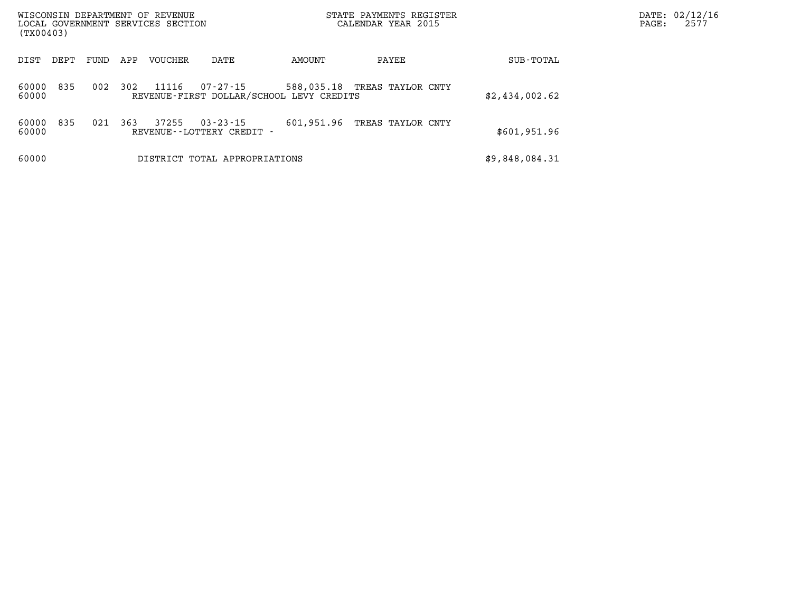| WISCONSIN DEPARTMENT OF REVENUE<br>LOCAL GOVERNMENT SERVICES SECTION<br>(TX00403) |      |     |                |                                                      |            | STATE PAYMENTS REGISTER<br>CALENDAR YEAR 2015 |                | DATE: 02/12/16<br>PAGE: | 2577 |
|-----------------------------------------------------------------------------------|------|-----|----------------|------------------------------------------------------|------------|-----------------------------------------------|----------------|-------------------------|------|
| DIST<br>DEPT                                                                      | FUND | APP | <b>VOUCHER</b> | DATE                                                 | AMOUNT     | PAYEE                                         | SUB-TOTAL      |                         |      |
| 835<br>60000<br>60000                                                             | 002  | 302 | 11116          | 07-27-15<br>REVENUE-FIRST DOLLAR/SCHOOL LEVY CREDITS |            | 588,035.18 TREAS TAYLOR CNTY                  | \$2,434,002.62 |                         |      |
| 835<br>60000<br>60000                                                             | 021  | 363 | 37255          | $03 - 23 - 15$<br>REVENUE--LOTTERY CREDIT -          | 601,951.96 | TREAS TAYLOR CNTY                             | \$601,951.96   |                         |      |
| 60000                                                                             |      |     |                | DISTRICT TOTAL APPROPRIATIONS                        |            |                                               | \$9,848,084.31 |                         |      |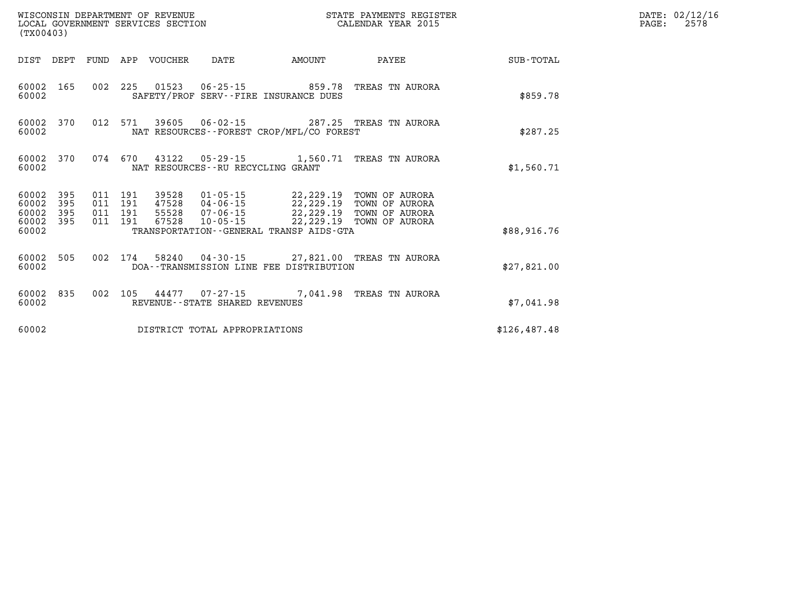| (TX00403)                   |            |                               |         | WISCONSIN DEPARTMENT OF REVENUE<br>LOCAL GOVERNMENT SERVICES SECTION |                                   |                                                                                                                                        | STATE PAYMENTS REGISTER<br>CALENDAR YEAR 2015    |              | DATE: 02/12/16<br>PAGE:<br>2578 |
|-----------------------------|------------|-------------------------------|---------|----------------------------------------------------------------------|-----------------------------------|----------------------------------------------------------------------------------------------------------------------------------------|--------------------------------------------------|--------------|---------------------------------|
|                             |            |                               |         | DIST DEPT FUND APP VOUCHER                                           | DATE                              | <b>AMOUNT</b>                                                                                                                          | PAYEE                                            | SUB-TOTAL    |                                 |
| 60002                       | 60002 165  |                               |         |                                                                      |                                   | SAFETY/PROF SERV--FIRE INSURANCE DUES                                                                                                  | 002 225 01523 06-25-15 859.78 TREAS TN AURORA    | \$859.78     |                                 |
| 60002                       | 60002 370  |                               |         |                                                                      |                                   | NAT RESOURCES--FOREST CROP/MFL/CO FOREST                                                                                               | 012 571 39605 06-02-15 287.25 TREAS TN AURORA    | \$287.25     |                                 |
| 60002 370<br>60002          |            |                               |         |                                                                      | NAT RESOURCES--RU RECYCLING GRANT |                                                                                                                                        | 074 670 43122 05-29-15 1,560.71 TREAS TN AURORA  | \$1,560.71   |                                 |
| 60002 395<br>60002<br>60002 | 395<br>395 | 011 191<br>011 191<br>011 191 | 011 191 |                                                                      |                                   | 39528  01-05-15  22,229.19  TOWN OF AURORA<br>47528  04-06-15  22,229.19  TOWN OF AURORA<br>55528  07-06-15  22,229.19  TOWN OF AURORA |                                                  |              |                                 |
| 60002 395<br>60002          |            |                               |         | 67528                                                                |                                   | 10-05-15 22,229.19 TOWN OF AURORA<br>TRANSPORTATION - - GENERAL TRANSP AIDS - GTA                                                      |                                                  | \$88,916.76  |                                 |
| 60002 505<br>60002          |            |                               |         |                                                                      |                                   | DOA--TRANSMISSION LINE FEE DISTRIBUTION                                                                                                | 002 174 58240 04-30-15 27,821.00 TREAS TN AURORA | \$27,821.00  |                                 |
| 60002                       | 60002 835  |                               | 002 105 |                                                                      | REVENUE--STATE SHARED REVENUES    |                                                                                                                                        | 44477  07-27-15  7,041.98 TREAS TN AURORA        | \$7.041.98   |                                 |
| 60002                       |            |                               |         |                                                                      | DISTRICT TOTAL APPROPRIATIONS     |                                                                                                                                        |                                                  | \$126,487.48 |                                 |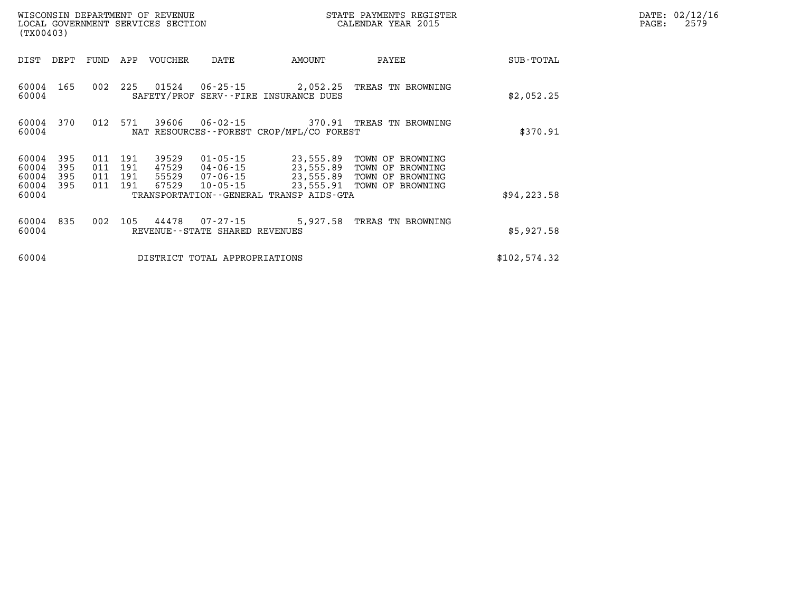| (TX00403)               |                          |      |                           | WISCONSIN DEPARTMENT OF REVENUE<br>LOCAL GOVERNMENT SERVICES SECTION |                                                  |                                                                                               | STATE PAYMENTS REGISTER<br>CALENDAR YEAR 2015            |              | DATE: 02/12/16<br>PAGE:<br>2579 |
|-------------------------|--------------------------|------|---------------------------|----------------------------------------------------------------------|--------------------------------------------------|-----------------------------------------------------------------------------------------------|----------------------------------------------------------|--------------|---------------------------------|
| DIST                    | DEPT                     | FUND | APP                       | VOUCHER                                                              | DATE                                             | AMOUNT                                                                                        | PAYEE                                                    | SUB-TOTAL    |                                 |
| 60004 165<br>60004      |                          |      |                           | 002 225 01524                                                        |                                                  | SAFETY/PROF SERV--FIRE INSURANCE DUES                                                         | 06-25-15 2,052.25 TREAS TN BROWNING                      | \$2,052.25   |                                 |
| 60004 370<br>60004      |                          |      | 012 571                   | 39606                                                                |                                                  | NAT RESOURCES--FOREST CROP/MFL/CO FOREST                                                      | 06-02-15 370.91 TREAS TN BROWNING                        | \$370.91     |                                 |
| 60004<br>60004<br>60004 | 395<br>395<br>395<br>395 | 011  | 191<br>011 191<br>011 191 | 39529                                                                | 01-05-15                                         | 23,555.89<br>47529 04-06-15 23,555.89<br>55529 07-06-15 23,555.89<br>67529 10-05-15 23,555.89 | TOWN OF BROWNING<br>TOWN OF BROWNING<br>TOWN OF BROWNING |              |                                 |
| 60004<br>60004          |                          | 011  | 191                       |                                                                      |                                                  | TRANSPORTATION--GENERAL TRANSP AIDS-GTA                                                       | TOWN OF BROWNING                                         | \$94, 223.58 |                                 |
| 60004 835<br>60004      |                          | 002  |                           | 105 44478                                                            | $07 - 27 - 15$<br>REVENUE--STATE SHARED REVENUES |                                                                                               | 5,927.58 TREAS TN BROWNING                               | \$5,927.58   |                                 |
| 60004                   |                          |      |                           |                                                                      | DISTRICT TOTAL APPROPRIATIONS                    |                                                                                               |                                                          | \$102,574.32 |                                 |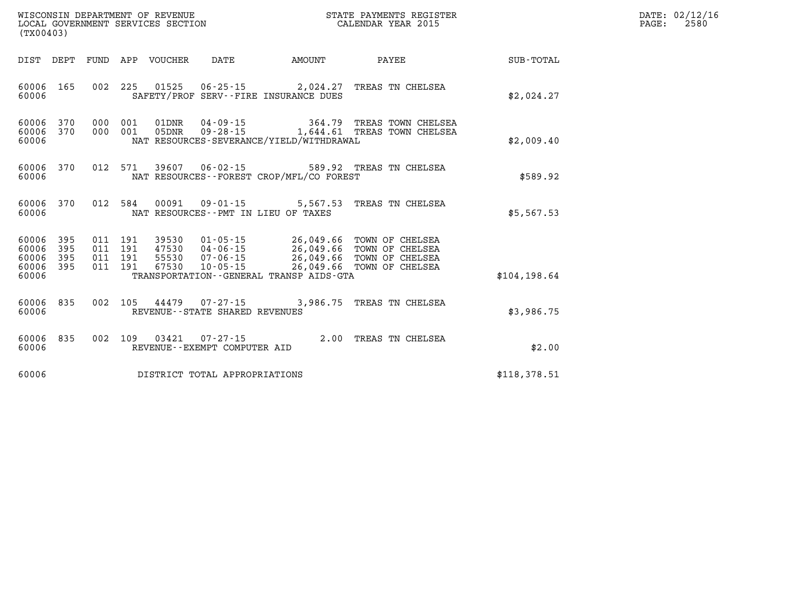| WISCONSIN DEPARTMENT OF REVENUE<br>LOCAL GOVERNMENT SERVICES SECTION<br>(TX00403) |  |                                |                               | STATE PAYMENTS REGISTER<br>CALENDAR YEAR 2015 |                                                                                                                                                                                                                                                                                                                                              | DATE: 02/12/16<br>$\mathtt{PAGE}$ :<br>2580 |  |
|-----------------------------------------------------------------------------------|--|--------------------------------|-------------------------------|-----------------------------------------------|----------------------------------------------------------------------------------------------------------------------------------------------------------------------------------------------------------------------------------------------------------------------------------------------------------------------------------------------|---------------------------------------------|--|
|                                                                                   |  | DIST DEPT FUND APP VOUCHER     | DATE                          | <b>AMOUNT</b>                                 | PAYEE                                                                                                                                                                                                                                                                                                                                        | SUB-TOTAL                                   |  |
| 60006 165<br>60006                                                                |  |                                |                               | SAFETY/PROF SERV--FIRE INSURANCE DUES         | 002 225 01525 06-25-15 2,024.27 TREAS TN CHELSEA                                                                                                                                                                                                                                                                                             | \$2,024.27                                  |  |
| 60006 370<br>60006 370<br>60006                                                   |  | 000 001                        |                               | NAT RESOURCES-SEVERANCE/YIELD/WITHDRAWAL      | 01DNR  04-09-15  364.79 TREAS TOWN CHELSEA<br>000 001 05DNR 09-28-15 1,644.61 TREAS TOWN CHELSEA                                                                                                                                                                                                                                             | \$2,009.40                                  |  |
| 60006 370<br>60006                                                                |  |                                |                               | NAT RESOURCES - - FOREST CROP/MFL/CO FOREST   | 012 571 39607 06-02-15 589.92 TREAS TN CHELSEA                                                                                                                                                                                                                                                                                               | \$589.92                                    |  |
| 60006 370<br>60006                                                                |  |                                |                               | NAT RESOURCES -- PMT IN LIEU OF TAXES         | 012 584 00091 09-01-15 5,567.53 TREAS TN CHELSEA                                                                                                                                                                                                                                                                                             | \$5,567.53                                  |  |
| 60006<br>395<br>60006<br>395<br>60006<br>395<br>60006 395                         |  |                                |                               |                                               | $\begin{array}{cccccccc} 011 & 191 & 39530 & 01\cdot 05\cdot 15 & 26\,, 049\, .66 & \text{TOWN OF CHELSEA} \\ 011 & 191 & 47530 & 04\cdot 06\cdot 15 & 26\,, 049\, .66 & \text{TOWN OF CHELSEA} \\ 011 & 191 & 55530 & 07\cdot 06\cdot 15 & 26\,, 049\, .66 & \text{TOWN OF CHELSEA} \\ 011 & 191 & 67530 & 10\cdot 05\cdot 15 & 26\,, 049\$ |                                             |  |
| 60006                                                                             |  |                                |                               | TRANSPORTATION--GENERAL TRANSP AIDS-GTA       |                                                                                                                                                                                                                                                                                                                                              | \$104, 198.64                               |  |
| 60006<br>835<br>60006                                                             |  | REVENUE--STATE SHARED REVENUES |                               |                                               | 002 105 44479 07-27-15 3,986.75 TREAS TN CHELSEA                                                                                                                                                                                                                                                                                             | \$3,986.75                                  |  |
| 835<br>60006<br>60006                                                             |  | REVENUE--EXEMPT COMPUTER AID   |                               |                                               | 002 109 03421 07-27-15 2.00 TREAS TN CHELSEA                                                                                                                                                                                                                                                                                                 | \$2.00                                      |  |
| 60006                                                                             |  |                                | DISTRICT TOTAL APPROPRIATIONS |                                               |                                                                                                                                                                                                                                                                                                                                              | \$118,378.51                                |  |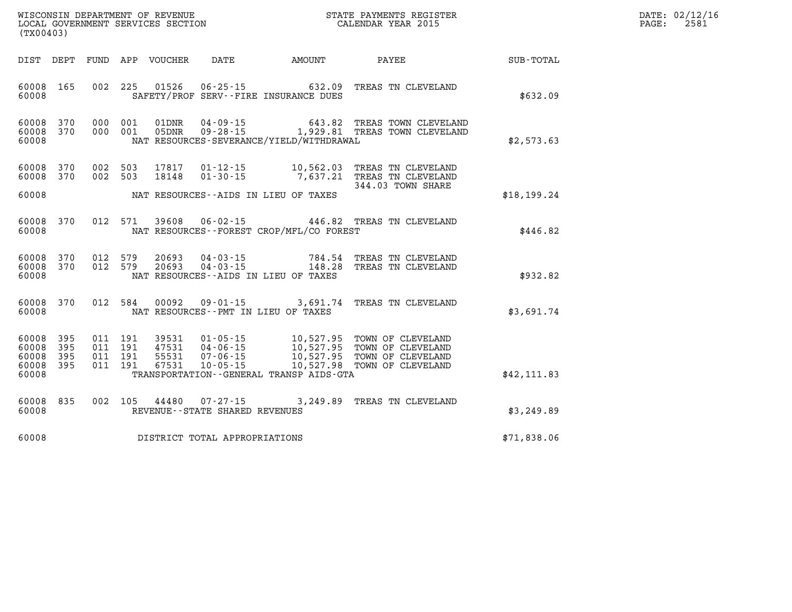| DATE:            | 02/12/16 |
|------------------|----------|
| $\texttt{PAGE:}$ | 2581     |

| WISCONSIN DEPARTMENT OF REVENUE<br>LOCAL GOVERNMENT SERVICES SECTION<br>(TX00403) |                          |                          |                          |                                  | STATE PAYMENTS REGISTER<br>CALENDAR YEAR 2015                        |                                                                |                                                                                  |                  |
|-----------------------------------------------------------------------------------|--------------------------|--------------------------|--------------------------|----------------------------------|----------------------------------------------------------------------|----------------------------------------------------------------|----------------------------------------------------------------------------------|------------------|
| DIST                                                                              | DEPT                     | <b>FUND</b>              | APP                      | VOUCHER                          | DATE                                                                 | <b>AMOUNT</b>                                                  | PAYEE                                                                            | <b>SUB-TOTAL</b> |
| 60008<br>60008                                                                    | 165                      | 002                      | 225                      | 01526                            | $06 - 25 - 15$                                                       | 632.09<br>SAFETY/PROF SERV--FIRE INSURANCE DUES                | TREAS TN CLEVELAND                                                               | \$632.09         |
| 60008<br>60008<br>60008                                                           | 370<br>370               | 000<br>000               | 001<br>001               | 01DNR<br>05DNR                   | $04 - 09 - 15$<br>$09 - 28 - 15$                                     | 643.82<br>1,929.81<br>NAT RESOURCES-SEVERANCE/YIELD/WITHDRAWAL | TREAS TOWN CLEVELAND<br>TREAS TOWN CLEVELAND                                     | \$2,573.63       |
| 60008<br>60008                                                                    | 370<br>370               | 002<br>002               | 503<br>503               | 17817<br>18148                   | $01 - 12 - 15$<br>$01 - 30 - 15$                                     | 10,562.03<br>7,637.21                                          | TREAS TN CLEVELAND<br>TREAS TN CLEVELAND<br>344.03 TOWN SHARE                    |                  |
| 60008                                                                             |                          |                          |                          |                                  |                                                                      | NAT RESOURCES -- AIDS IN LIEU OF TAXES                         |                                                                                  | \$18,199.24      |
| 60008<br>60008                                                                    | 370                      | 012                      | 571                      | 39608                            | $06 - 02 - 15$                                                       | 446.82<br>NAT RESOURCES - - FOREST CROP/MFL/CO FOREST          | TREAS TN CLEVELAND                                                               | \$446.82         |
| 60008<br>60008<br>60008                                                           | 370<br>370               | 012<br>012               | 579<br>579               | 20693<br>20693                   | $04 - 03 - 15$<br>$04 - 03 - 15$                                     | 784.54<br>148.28<br>NAT RESOURCES--AIDS IN LIEU OF TAXES       | TREAS TN CLEVELAND<br>TREAS TN CLEVELAND                                         | \$932.82         |
| 60008<br>60008                                                                    | 370                      | 012                      | 584                      | 00092                            | $09 - 01 - 15$                                                       | 3,691.74<br>NAT RESOURCES -- PMT IN LIEU OF TAXES              | TREAS TN CLEVELAND                                                               | \$3,691.74       |
| 60008<br>60008<br>60008<br>60008                                                  | 395<br>395<br>395<br>395 | 011<br>011<br>011<br>011 | 191<br>191<br>191<br>191 | 39531<br>47531<br>55531<br>67531 | $01 - 05 - 15$<br>$04 - 06 - 15$<br>$07 - 06 - 15$<br>$10 - 05 - 15$ | 10,527.95<br>10,527.95<br>10,527.95<br>10,527.98               | TOWN OF CLEVELAND<br>TOWN OF CLEVELAND<br>TOWN OF CLEVELAND<br>TOWN OF CLEVELAND |                  |
| 60008                                                                             |                          |                          |                          |                                  |                                                                      | TRANSPORTATION--GENERAL TRANSP AIDS-GTA                        |                                                                                  | \$42,111.83      |
| 60008<br>60008                                                                    | 835                      | 002                      | 105                      | 44480                            | $07 - 27 - 15$<br>REVENUE - - STATE SHARED REVENUES                  | 3,249.89                                                       | TREAS TN CLEVELAND                                                               | \$3,249.89       |
| 60008                                                                             |                          |                          |                          |                                  | DISTRICT TOTAL APPROPRIATIONS                                        |                                                                |                                                                                  | \$71,838.06      |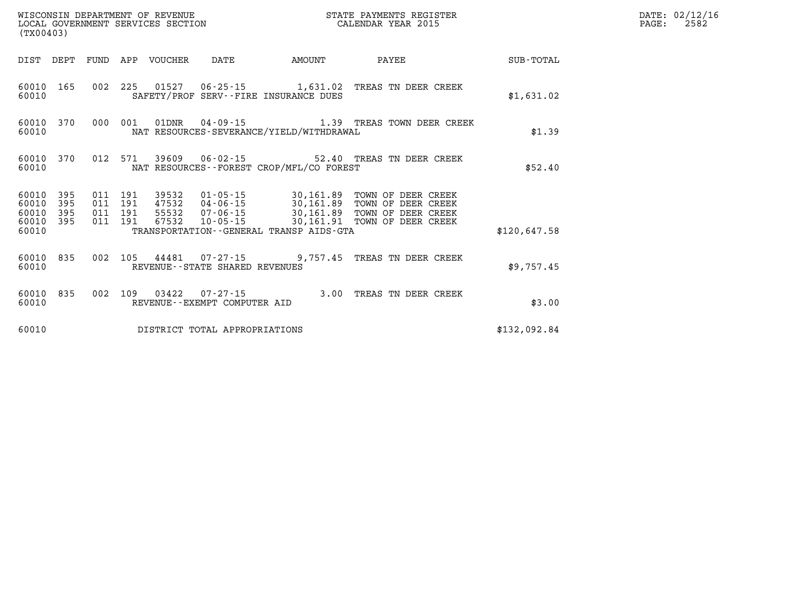| % WISCONSIN DEPARTMENT OF REVENUE $$\tt SCATE$ PAYMENTS REGIST LOCAL GOVERNMENT SERVICES SECTION $$\tt CALEINDAR$ YEAR 2015<br>(TX00403) |           |  |                                 | STATE PAYMENTS REGISTER        |                                             | DATE: 02/12/16<br>2582<br>$\mathtt{PAGE:}$                                                                                                                                                                               |              |  |
|------------------------------------------------------------------------------------------------------------------------------------------|-----------|--|---------------------------------|--------------------------------|---------------------------------------------|--------------------------------------------------------------------------------------------------------------------------------------------------------------------------------------------------------------------------|--------------|--|
|                                                                                                                                          |           |  | DIST DEPT FUND APP VOUCHER DATE |                                | <b>AMOUNT</b>                               | PAYEE                                                                                                                                                                                                                    | SUB-TOTAL    |  |
| 60010                                                                                                                                    | 60010 165 |  |                                 |                                | SAFETY/PROF SERV--FIRE INSURANCE DUES       | 002 225 01527 06-25-15 1,631.02 TREAS TN DEER CREEK                                                                                                                                                                      | \$1,631.02   |  |
| 60010                                                                                                                                    | 60010 370 |  |                                 |                                | NAT RESOURCES-SEVERANCE/YIELD/WITHDRAWAL    | 000 001 01DNR 04-09-15 1.39 TREAS TOWN DEER CREEK                                                                                                                                                                        | \$1.39       |  |
| 60010                                                                                                                                    | 60010 370 |  |                                 |                                | NAT RESOURCES - - FOREST CROP/MFL/CO FOREST | 012 571 39609 06-02-15 52.40 TREAS TN DEER CREEK                                                                                                                                                                         | \$52.40      |  |
| 60010<br>60010 395<br>60010 395<br>60010 395                                                                                             | 395       |  |                                 |                                |                                             | 011 191 39532 01-05-15 30,161.89 TOWN OF DEER CREEK<br>011 191 47532 04-06-15 30,161.89 TOWN OF DEER CREEK<br>011 191 55532 07-06-15 30,161.89 TOWN OF DEER CREEK<br>011 191 67532 10-05-15 30,161.91 TOWN OF DEER CREEK |              |  |
| 60010                                                                                                                                    |           |  |                                 |                                | TRANSPORTATION--GENERAL TRANSP AIDS-GTA     |                                                                                                                                                                                                                          | \$120,647.58 |  |
| 60010                                                                                                                                    |           |  |                                 | REVENUE--STATE SHARED REVENUES |                                             | 60010 835 002 105 44481 07-27-15 9,757.45 TREAS TN DEER CREEK                                                                                                                                                            | \$9,757.45   |  |
| 60010                                                                                                                                    | 60010 835 |  |                                 | REVENUE--EXEMPT COMPUTER AID   |                                             | 002 109 03422 07-27-15 3.00 TREAS TN DEER CREEK                                                                                                                                                                          | \$3.00       |  |
| 60010                                                                                                                                    |           |  |                                 | DISTRICT TOTAL APPROPRIATIONS  |                                             |                                                                                                                                                                                                                          | \$132,092.84 |  |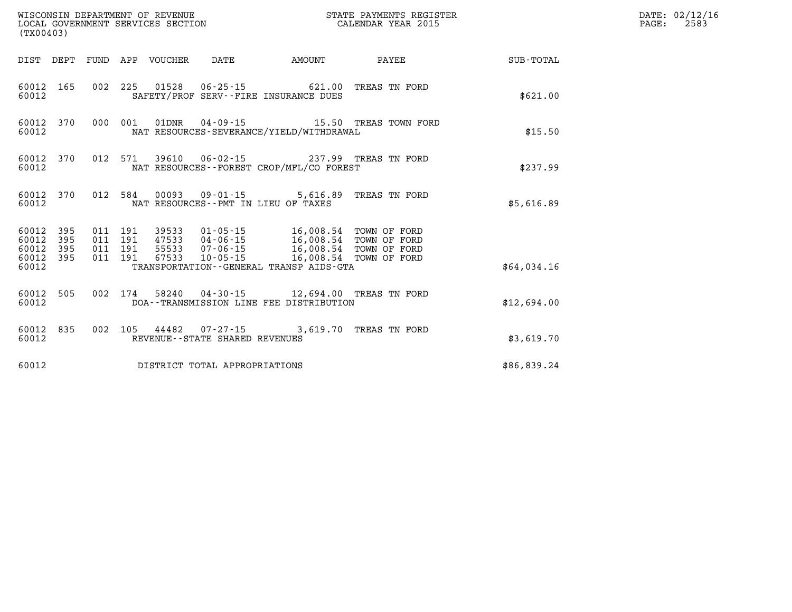| WISCONSIN DEPARTMENT OF REVENUE<br>LOCAL GOVERNMENT SERVICES SECTION<br>(TX00403) |                                          |                            |                                      | STATE PAYMENTS REGISTER<br>CALENDAR YEAR 2015                                                                                                                               |                                                |             | DATE: 02/12/16<br>$\mathtt{PAGE:}$<br>2583 |
|-----------------------------------------------------------------------------------|------------------------------------------|----------------------------|--------------------------------------|-----------------------------------------------------------------------------------------------------------------------------------------------------------------------------|------------------------------------------------|-------------|--------------------------------------------|
|                                                                                   |                                          | DIST DEPT FUND APP VOUCHER | DATE                                 | AMOUNT                                                                                                                                                                      | PAYEE                                          | SUB-TOTAL   |                                            |
| 60012 165<br>60012                                                                |                                          |                            |                                      | 002 225 01528 06-25-15 621.00 TREAS TN FORD<br>SAFETY/PROF SERV--FIRE INSURANCE DUES                                                                                        |                                                | \$621.00    |                                            |
| 60012 370<br>60012                                                                | 000 001                                  | 01DNR                      |                                      | NAT RESOURCES-SEVERANCE/YIELD/WITHDRAWAL                                                                                                                                    |                                                | \$15.50     |                                            |
| 60012 370<br>60012                                                                |                                          |                            |                                      | NAT RESOURCES--FOREST CROP/MFL/CO FOREST                                                                                                                                    | 012 571 39610 06-02-15 237.99 TREAS TN FORD    | \$237.99    |                                            |
| 60012 370<br>60012                                                                |                                          |                            | NAT RESOURCES - PMT IN LIEU OF TAXES |                                                                                                                                                                             | 012 584 00093 09-01-15 5,616.89 TREAS TN FORD  | \$5,616.89  |                                            |
| 60012 395<br>60012<br>395<br>60012<br>395<br>60012 395                            | 011 191<br>011 191<br>011 191<br>011 191 |                            |                                      | 39533  01-05-15  16,008.54  TOWN OF FORD<br>47533  04-06-15  16,008.54  TOWN OF FORD<br>55533  07-06-15   16,008.54   TOWN OF FORD<br>67533 10-05-15 16,008.54 TOWN OF FORD |                                                |             |                                            |
| 60012                                                                             |                                          |                            |                                      | TRANSPORTATION--GENERAL TRANSP AIDS-GTA                                                                                                                                     |                                                | \$64,034.16 |                                            |
| 60012 505<br>60012                                                                |                                          |                            |                                      | DOA--TRANSMISSION LINE FEE DISTRIBUTION                                                                                                                                     | 002 174 58240 04-30-15 12,694.00 TREAS TN FORD | \$12,694.00 |                                            |
| 60012 835<br>60012                                                                |                                          |                            | REVENUE--STATE SHARED REVENUES       |                                                                                                                                                                             | 002 105 44482 07-27-15 3,619.70 TREAS TN FORD  | \$3,619.70  |                                            |
| 60012                                                                             |                                          |                            | DISTRICT TOTAL APPROPRIATIONS        |                                                                                                                                                                             |                                                | \$86,839.24 |                                            |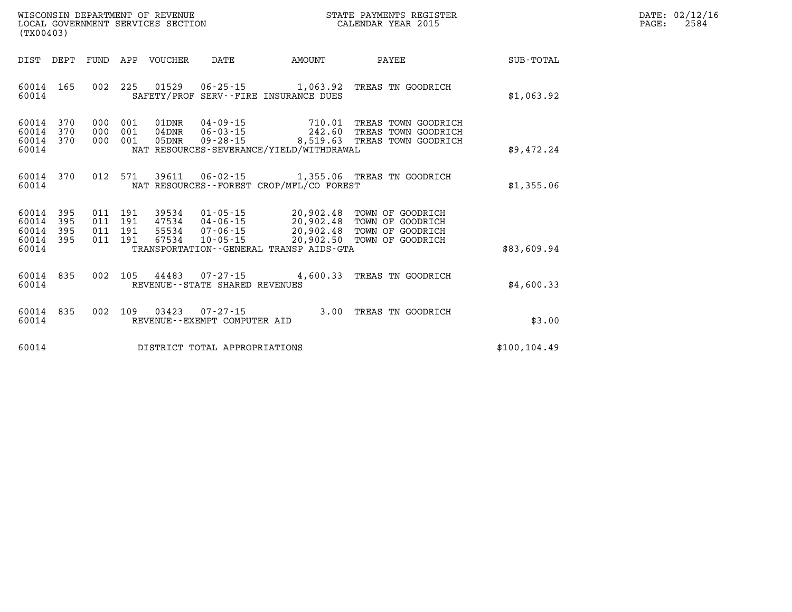| WISCONSIN DEPARTMENT OF REVENUE   | R PAYMENTS REGISTER<br>STATE | DATE: | 02/12/16 |
|-----------------------------------|------------------------------|-------|----------|
| LOCAL GOVERNMENT SERVICES SECTION | CALENDAR YEAR 2015           | PAGE  | 2584     |

| (TX00403)                                 |                                                      |                                                                                                                                                                                 |                                                  |                                                                                    |               |
|-------------------------------------------|------------------------------------------------------|---------------------------------------------------------------------------------------------------------------------------------------------------------------------------------|--------------------------------------------------|------------------------------------------------------------------------------------|---------------|
| DIST<br>DEPT                              | FUND                                                 | APP<br>VOUCHER<br>DATE                                                                                                                                                          | AMOUNT                                           | PAYEE                                                                              | SUB-TOTAL     |
| 60014<br>60014                            | 165<br>002                                           | 225<br>01529<br>$06 - 25 - 15$<br>SAFETY/PROF SERV--FIRE INSURANCE DUES                                                                                                         | 1,063.92                                         | TREAS TN GOODRICH                                                                  | \$1,063.92    |
| 60014<br>60014<br>60014<br>60014          | 370<br>000<br>370<br>000<br>370<br>000               | $04 - 09 - 15$<br>001<br>01DNR<br>001<br>04DNR<br>$06 - 03 - 15$<br>001<br>05DNR<br>$09 - 28 - 15$<br>NAT RESOURCES-SEVERANCE/YIELD/WITHDRAWAL                                  | 710.01<br>242.60<br>8,519.63                     | TREAS TOWN GOODRICH<br>TREAS<br>TOWN GOODRICH<br>TREAS TOWN GOODRICH               | \$9,472.24    |
| 60014<br>60014                            | 012<br>370                                           | 571<br>39611<br>$06 - 02 - 15$<br>NAT RESOURCES - - FOREST CROP/MFL/CO FOREST                                                                                                   | 1,355.06                                         | TREAS TN GOODRICH                                                                  | \$1,355.06    |
| 60014<br>60014<br>60014<br>60014<br>60014 | 395<br>011<br>395<br>011<br>395<br>011<br>395<br>011 | 191<br>39534<br>$01 - 05 - 15$<br>191<br>47534<br>$04 - 06 - 15$<br>191<br>55534<br>$07 - 06 - 15$<br>191<br>67534<br>$10 - 05 - 15$<br>TRANSPORTATION--GENERAL TRANSP AIDS-GTA | 20,902.48<br>20,902.48<br>20,902.48<br>20,902.50 | TOWN OF GOODRICH<br>TOWN OF<br>GOODRICH<br>TOWN OF<br>GOODRICH<br>TOWN OF GOODRICH | \$83,609.94   |
| 60014<br>60014                            | 835<br>002                                           | 105<br>44483<br>$07 - 27 - 15$<br>REVENUE - - STATE SHARED REVENUES                                                                                                             | 4,600.33                                         | TREAS<br>TN GOODRICH                                                               | \$4,600.33    |
| 60014<br>60014                            | 002<br>835                                           | 109<br>03423<br>$07 - 27 - 15$<br>REVENUE--EXEMPT COMPUTER AID                                                                                                                  | 3.00                                             | TREAS TN GOODRICH                                                                  | \$3.00        |
| 60014                                     |                                                      | DISTRICT TOTAL APPROPRIATIONS                                                                                                                                                   |                                                  |                                                                                    | \$100, 104.49 |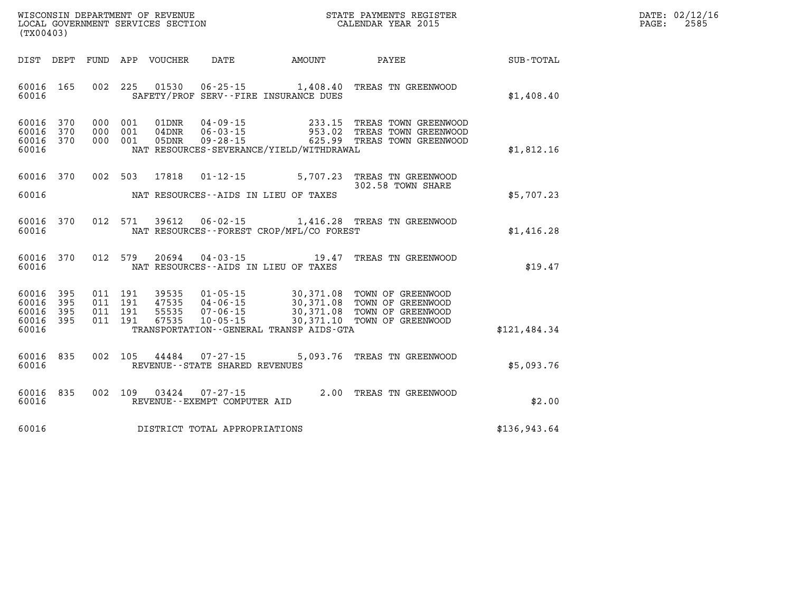| DATE:            | 02/12/16 |
|------------------|----------|
| $\texttt{PAGE:}$ | 2585     |

| (TX00403)                                                             |                          |                                                                                                                                                                                 |                                                  |                                                                                  |              |
|-----------------------------------------------------------------------|--------------------------|---------------------------------------------------------------------------------------------------------------------------------------------------------------------------------|--------------------------------------------------|----------------------------------------------------------------------------------|--------------|
| DIST<br>DEPT                                                          | <b>FUND</b>              | APP<br>VOUCHER<br>DATE                                                                                                                                                          | AMOUNT                                           | PAYEE                                                                            | SUB-TOTAL    |
| 165<br>60016<br>60016                                                 | 002                      | 225<br>01530<br>$06 - 25 - 15$ 1,408.40<br>SAFETY/PROF SERV--FIRE INSURANCE DUES                                                                                                |                                                  | TREAS TN GREENWOOD                                                               | \$1,408.40   |
| 370<br>60016<br>370<br>60016<br>60016<br>370<br>60016                 | 000<br>000<br>000        | $04 - 09 - 15$<br>001<br>01DNR<br>$06 - 03 - 15$<br>001<br>$04$ DNR<br>001<br>05DNR<br>$09 - 28 - 15$<br>NAT RESOURCES-SEVERANCE/YIELD/WITHDRAWAL                               | 233.15<br>953.02<br>625.99                       | TREAS TOWN GREENWOOD<br>TREAS TOWN GREENWOOD<br>TREAS TOWN GREENWOOD             | \$1,812.16   |
| 60016<br>370<br>60016                                                 | 002                      | 503<br>17818<br>$01 - 12 - 15$<br>NAT RESOURCES--AIDS IN LIEU OF TAXES                                                                                                          | 5,707.23                                         | TREAS TN GREENWOOD<br>302.58 TOWN SHARE                                          | \$5,707.23   |
| 60016<br>370<br>60016                                                 | 012                      | 571<br>39612<br>$06 - 02 - 15$<br>NAT RESOURCES - - FOREST CROP/MFL/CO FOREST                                                                                                   |                                                  | 1,416.28 TREAS TN GREENWOOD                                                      | \$1,416.28   |
| 370<br>60016<br>60016                                                 | 012                      | 579<br>20694<br>$04 - 03 - 15$<br>NAT RESOURCES -- AIDS IN LIEU OF TAXES                                                                                                        | 19.47                                            | TREAS TN GREENWOOD                                                               | \$19.47      |
| 60016<br>395<br>60016<br>395<br>60016<br>395<br>60016<br>395<br>60016 | 011<br>011<br>011<br>011 | 191<br>39535<br>$01 - 05 - 15$<br>191<br>47535<br>$04 - 06 - 15$<br>191<br>55535<br>$07 - 06 - 15$<br>191<br>67535<br>$10 - 05 - 15$<br>TRANSPORTATION--GENERAL TRANSP AIDS-GTA | 30,371.08<br>30,371.08<br>30,371.08<br>30,371.10 | TOWN OF GREENWOOD<br>TOWN OF GREENWOOD<br>TOWN OF GREENWOOD<br>TOWN OF GREENWOOD | \$121,484.34 |
| 835<br>60016<br>60016                                                 | 002                      | 105<br>44484<br>$07 - 27 - 15$<br>REVENUE - - STATE SHARED REVENUES                                                                                                             | 5,093.76                                         | TREAS TN GREENWOOD                                                               | \$5,093.76   |
| 835<br>60016<br>60016                                                 | 002                      | 109<br>03424<br>$07 - 27 - 15$<br>REVENUE--EXEMPT COMPUTER AID                                                                                                                  | 2.00                                             | TREAS TN GREENWOOD                                                               | \$2.00       |
| 60016                                                                 |                          | DISTRICT TOTAL APPROPRIATIONS                                                                                                                                                   |                                                  |                                                                                  | \$136,943.64 |

LOCAL GOVERNMENT SERVICES SECTION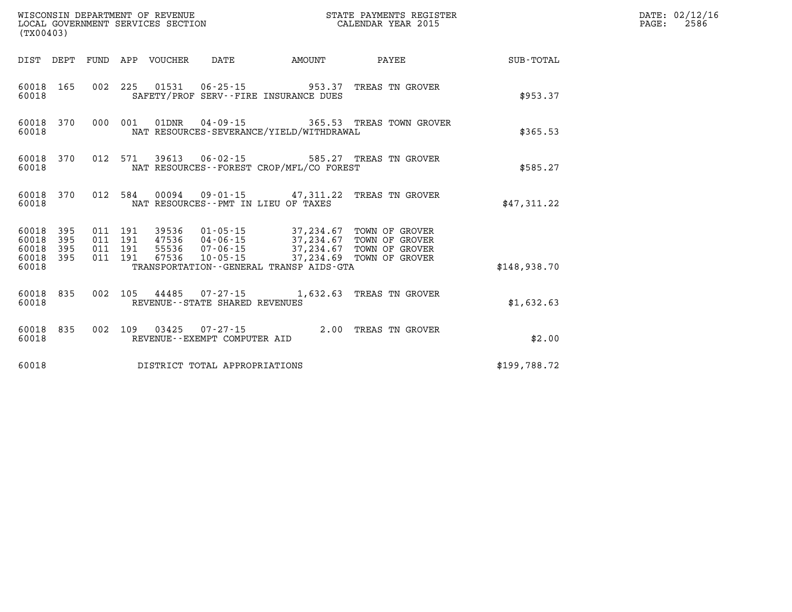| (TX00403)                   |                               |  |  |                                |                                              | DATE: 02/12/16<br>$\mathtt{PAGE:}$<br>2586                                                                                                                                                                                                                                                                                                             |                                                           |  |
|-----------------------------|-------------------------------|--|--|--------------------------------|----------------------------------------------|--------------------------------------------------------------------------------------------------------------------------------------------------------------------------------------------------------------------------------------------------------------------------------------------------------------------------------------------------------|-----------------------------------------------------------|--|
|                             |                               |  |  |                                |                                              |                                                                                                                                                                                                                                                                                                                                                        | DIST DEPT FUND APP VOUCHER DATE AMOUNT PAYEE TO SUB-TOTAL |  |
| 60018                       | 60018 165                     |  |  |                                | SAFETY/PROF SERV--FIRE INSURANCE DUES        | 002 225 01531 06-25-15 953.37 TREAS TN GROVER                                                                                                                                                                                                                                                                                                          | \$953.37                                                  |  |
| 60018                       |                               |  |  |                                | NAT RESOURCES-SEVERANCE/YIELD/WITHDRAWAL     | 60018 370 000 001 01DNR 04-09-15 365.53 TREAS TOWN GROVER                                                                                                                                                                                                                                                                                              | \$365.53                                                  |  |
| 60018                       |                               |  |  |                                | NAT RESOURCES - - FOREST CROP/MFL/CO FOREST  | 60018 370 012 571 39613 06-02-15 585.27 TREAS TN GROVER                                                                                                                                                                                                                                                                                                | \$585.27                                                  |  |
| 60018                       |                               |  |  |                                | NAT RESOURCES--PMT IN LIEU OF TAXES          | 60018 370 012 584 00094 09-01-15 47,311.22 TREAS TN GROVER                                                                                                                                                                                                                                                                                             | \$47,311.22                                               |  |
| 60018<br>60018 395<br>60018 | 60018 395<br>395<br>60018 395 |  |  |                                | TRANSPORTATION - - GENERAL TRANSP AIDS - GTA | $\begin{array}{cccc} 011 & 191 & 39536 & 01\cdot 05\cdot 15 & 37,234.67 & \text{TOWN OF GROVER} \\ 011 & 191 & 47536 & 04\cdot 06\cdot 15 & 37,234.67 & \text{TOWN OF GROVER} \\ 011 & 191 & 55536 & 07\cdot 06\cdot 15 & 37,234.67 & \text{TOWN OF GROVER} \\ 011 & 191 & 67536 & 10\cdot 05\cdot 15 & 37,234.69 & \text{TOWN OF GROVER} \end{array}$ | \$148,938.70                                              |  |
|                             |                               |  |  |                                |                                              | 60018 835 002 105 44485 07-27-15 1,632.63 TREAS TN GROVER                                                                                                                                                                                                                                                                                              |                                                           |  |
| 60018                       | 60018 835                     |  |  | REVENUE--STATE SHARED REVENUES |                                              | 002 109 03425 07-27-15 2.00 TREAS TN GROVER                                                                                                                                                                                                                                                                                                            | \$1,632.63                                                |  |
| 60018                       |                               |  |  | REVENUE--EXEMPT COMPUTER AID   |                                              |                                                                                                                                                                                                                                                                                                                                                        | \$2.00                                                    |  |
| 60018                       |                               |  |  | DISTRICT TOTAL APPROPRIATIONS  |                                              |                                                                                                                                                                                                                                                                                                                                                        | \$199.788.72                                              |  |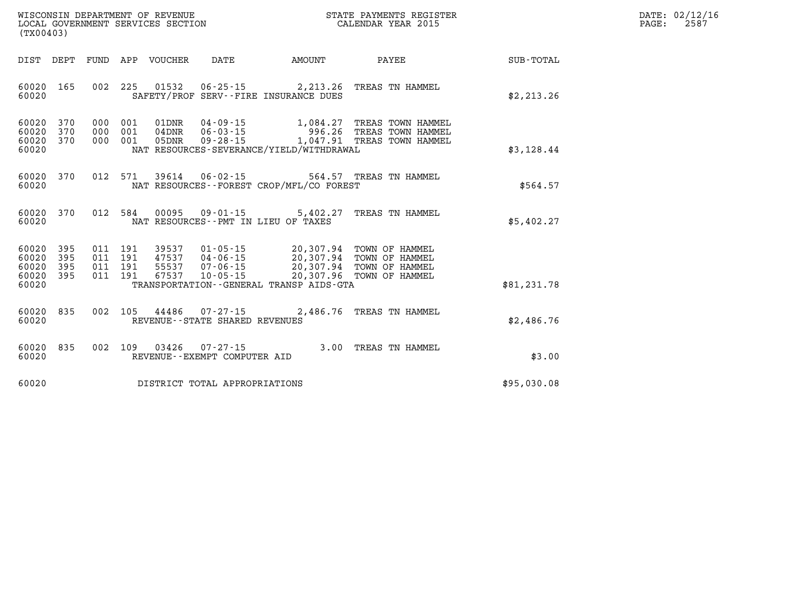| $\mathtt{DATE}$ : | 02/12/16 |
|-------------------|----------|
| PAGE:             | 2587     |

| WISCONSIN DEPARTMENT OF REVENUE<br>(TX00403)                                                      | LOCAL GOVERNMENT SERVICES SECTION                                                                                                                                               |           | STATE PAYMENTS REGISTER<br>CALENDAR YEAR 2015                                                      |                  |
|---------------------------------------------------------------------------------------------------|---------------------------------------------------------------------------------------------------------------------------------------------------------------------------------|-----------|----------------------------------------------------------------------------------------------------|------------------|
| DIST<br>DEPT<br>FUND                                                                              | APP<br>VOUCHER<br>DATE                                                                                                                                                          | AMOUNT    | PAYEE                                                                                              | <b>SUB-TOTAL</b> |
| 60020<br>165<br>002<br>60020                                                                      | 225<br>01532<br>$06 - 25 - 15$<br>SAFETY/PROF SERV--FIRE INSURANCE DUES                                                                                                         |           | 2,213.26 TREAS TN HAMMEL                                                                           | \$2, 213.26      |
| 60020<br>370<br>000<br>60020<br>370<br>000<br>60020<br>370<br>000<br>60020                        | $04 - 09 - 15$<br>001<br>01DNR<br>$06 - 03 - 15$<br>001<br>$04$ DNR<br>001<br>$09 - 28 - 15$<br>05DNR<br>NAT RESOURCES-SEVERANCE/YIELD/WITHDRAWAL                               |           | 1,084.27 TREAS TOWN HAMMEL<br>996.26 TREAS TOWN HAMMEL<br>1,047.91 TREAS TOWN HAMMEL               | \$3,128.44       |
| 012<br>370<br>60020<br>60020                                                                      | 571<br>39614<br>$06 - 02 - 15$<br>NAT RESOURCES - - FOREST CROP/MFL/CO FOREST                                                                                                   |           | 564.57 TREAS TN HAMMEL                                                                             | \$564.57         |
| 60020<br>370<br>012<br>60020                                                                      | 584<br>00095<br>$09 - 01 - 15$<br>NAT RESOURCES -- PMT IN LIEU OF TAXES                                                                                                         | 5,402.27  | TREAS TN HAMMEL                                                                                    | \$5,402.27       |
| 60020<br>395<br>011<br>395<br>60020<br>011<br>60020<br>395<br>011<br>60020<br>395<br>011<br>60020 | 191<br>39537<br>$01 - 05 - 15$<br>191<br>47537<br>$04 - 06 - 15$<br>191<br>55537<br>$07 - 06 - 15$<br>191<br>67537<br>$10 - 05 - 15$<br>TRANSPORTATION--GENERAL TRANSP AIDS-GTA | 20,307.96 | 20,307.94 TOWN OF HAMMEL<br>20,307.94 TOWN OF HAMMEL<br>20,307.94 TOWN OF HAMMEL<br>TOWN OF HAMMEL | \$81,231.78      |
| 835<br>002<br>60020<br>60020                                                                      | 105<br>44486<br>07-27-15<br>REVENUE - - STATE SHARED REVENUES                                                                                                                   | 2,486.76  | TREAS TN HAMMEL                                                                                    | \$2,486.76       |
| 60020<br>835<br>002<br>60020                                                                      | 109<br>03426<br>$07 - 27 - 15$<br>REVENUE--EXEMPT COMPUTER AID                                                                                                                  |           | 3.00 TREAS TN HAMMEL                                                                               | \$3.00           |
| 60020                                                                                             | DISTRICT TOTAL APPROPRIATIONS                                                                                                                                                   |           |                                                                                                    | \$95,030.08      |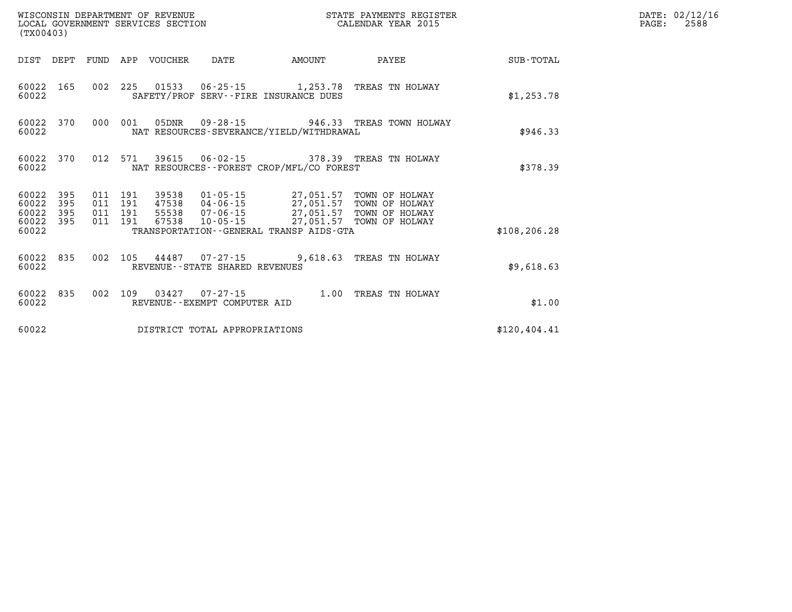| WISCONSIN DEPARTMENT OF REVENUE<br>LOCAL GOVERNMENT SERVICES SECTION<br>(TX00403) |                   |  |                                          | STATE PAYMENTS REGISTER<br>CALENDAR YEAR 2015 |                                | DATE: 02/12/16<br>2588<br>PAGE:          |                                                                                                                                                                                      |               |  |
|-----------------------------------------------------------------------------------|-------------------|--|------------------------------------------|-----------------------------------------------|--------------------------------|------------------------------------------|--------------------------------------------------------------------------------------------------------------------------------------------------------------------------------------|---------------|--|
| DIST DEPT                                                                         |                   |  |                                          | FUND APP VOUCHER                              | DATE                           | AMOUNT                                   | PAYEE                                                                                                                                                                                | SUB-TOTAL     |  |
| 60022 165<br>60022                                                                |                   |  |                                          |                                               |                                | SAFETY/PROF SERV--FIRE INSURANCE DUES    | 002 225 01533 06-25-15 1,253.78 TREAS TN HOLWAY                                                                                                                                      | \$1,253.78    |  |
| 60022 370<br>60022                                                                |                   |  | 000 001                                  |                                               |                                | NAT RESOURCES-SEVERANCE/YIELD/WITHDRAWAL | 05DNR  09-28-15  946.33 TREAS TOWN HOLWAY                                                                                                                                            | \$946.33      |  |
| 60022<br>60022                                                                    | 370               |  |                                          | 012 571 39615                                 |                                | NAT RESOURCES--FOREST CROP/MFL/CO FOREST | 06-02-15 378.39 TREAS TN HOLWAY                                                                                                                                                      | \$378.39      |  |
| 60022<br>60022<br>60022<br>60022 395                                              | 395<br>395<br>395 |  | 011 191<br>011 191<br>011 191<br>011 191 | 39538                                         |                                |                                          | 01-05-15 27,051.57 TOWN OF HOLWAY<br>47538 04-06-15<br>55538 07-06-15 27,051.57 TOWN OF HOLWAY<br>55538 07-06-15 27,051.57 TOWN OF HOLWAY<br>67538 10-05-15 27,051.57 TOWN OF HOLWAY |               |  |
| 60022                                                                             |                   |  |                                          |                                               |                                | TRANSPORTATION--GENERAL TRANSP AIDS-GTA  |                                                                                                                                                                                      | \$108, 206.28 |  |
| 60022 835<br>60022                                                                |                   |  |                                          |                                               | REVENUE--STATE SHARED REVENUES |                                          | 002 105 44487 07-27-15 9,618.63 TREAS TN HOLWAY                                                                                                                                      | \$9,618.63    |  |
| 60022 835<br>60022                                                                |                   |  |                                          |                                               | REVENUE--EXEMPT COMPUTER AID   |                                          | 002 109 03427 07-27-15 1.00 TREAS TN HOLWAY                                                                                                                                          | \$1.00        |  |
| 60022                                                                             |                   |  |                                          |                                               | DISTRICT TOTAL APPROPRIATIONS  |                                          |                                                                                                                                                                                      | \$120, 404.41 |  |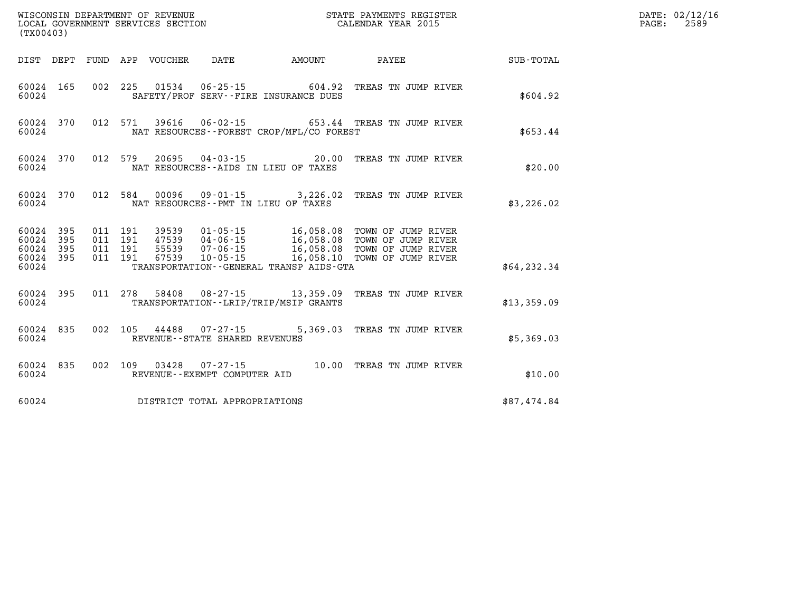|                                     | (TX00403) |         |                    |  |                                     |                                              |                                                                |              | DATE: 02/12/16<br>2589<br>$\mathtt{PAGE}$ : |
|-------------------------------------|-----------|---------|--------------------|--|-------------------------------------|----------------------------------------------|----------------------------------------------------------------|--------------|---------------------------------------------|
|                                     |           |         |                    |  |                                     | DIST DEPT FUND APP VOUCHER DATE AMOUNT       | <b>PAYEE</b>                                                   | SUB-TOTAL    |                                             |
| 60024                               | 60024 165 |         |                    |  |                                     | SAFETY/PROF SERV--FIRE INSURANCE DUES        | 002 225 01534 06-25-15 604.92 TREAS TN JUMP RIVER              | \$604.92     |                                             |
| 60024                               |           |         |                    |  |                                     | NAT RESOURCES--FOREST CROP/MFL/CO FOREST     | 60024 370 012 571 39616 06-02-15 653.44 TREAS TN JUMP RIVER    | \$653.44     |                                             |
| 60024                               |           |         |                    |  |                                     | NAT RESOURCES--AIDS IN LIEU OF TAXES         | 60024 370 012 579 20695 04-03-15 20.00 TREAS TN JUMP RIVER     | \$20.00      |                                             |
|                                     | 60024     |         |                    |  |                                     | NAT RESOURCES -- PMT IN LIEU OF TAXES        | 60024 370 012 584 00096 09-01-15 3,226.02 TREAS TN JUMP RIVER  | \$3,226.02   |                                             |
| 60024 395<br>60024 395<br>60024 395 |           | 011 191 | 011 191<br>011 191 |  |                                     |                                              |                                                                |              |                                             |
| 60024 395<br>60024                  |           |         | 011 191            |  |                                     | TRANSPORTATION - - GENERAL TRANSP AIDS - GTA |                                                                | \$64, 232.34 |                                             |
| 60024                               |           |         |                    |  |                                     | TRANSPORTATION - - LRIP/TRIP/MSIP GRANTS     | 60024 395 011 278 58408 08-27-15 13,359.09 TREAS TN JUMP RIVER | \$13,359.09  |                                             |
| 60024                               |           |         |                    |  | REVENUE--STATE SHARED REVENUES      |                                              | 60024 835 002 105 44488 07-27-15 5,369.03 TREAS TN JUMP RIVER  | \$5,369.03   |                                             |
| 60024                               |           |         |                    |  | REVENUE--EXEMPT COMPUTER AID        |                                              | 60024 835 002 109 03428 07-27-15 10.00 TREAS TN JUMP RIVER     | \$10.00      |                                             |
|                                     |           |         |                    |  | 60024 DISTRICT TOTAL APPROPRIATIONS |                                              |                                                                | \$87,474.84  |                                             |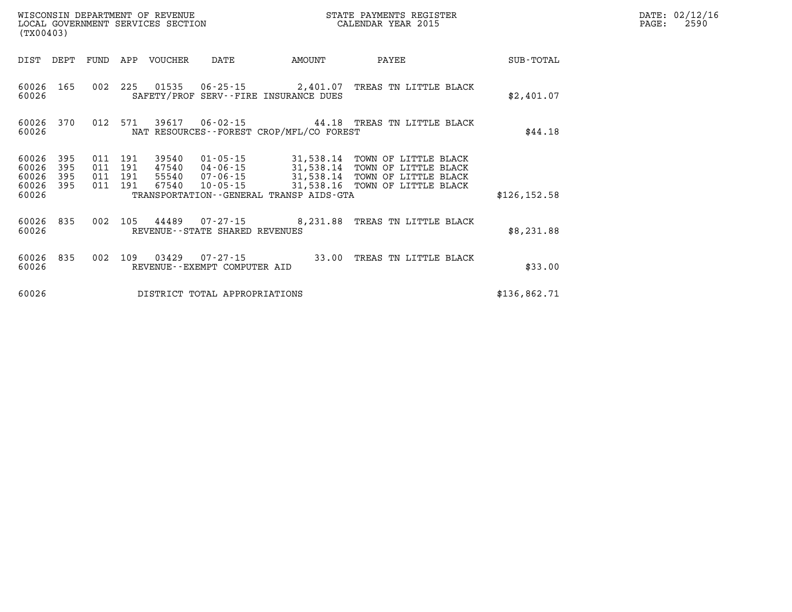| (TX00403)               |                   |                   |                   | WISCONSIN DEPARTMENT OF REVENUE<br>LOCAL GOVERNMENT SERVICES SECTION |                                                     |                                                           | STATE PAYMENTS REGISTER<br>CALENDAR YEAR 2015                        |               |
|-------------------------|-------------------|-------------------|-------------------|----------------------------------------------------------------------|-----------------------------------------------------|-----------------------------------------------------------|----------------------------------------------------------------------|---------------|
| DIST                    | DEPT              | FUND              | APP               | <b>VOUCHER</b>                                                       | DATE                                                | AMOUNT                                                    | PAYEE                                                                | SUB-TOTAL     |
| 60026<br>60026          | 165               | 002               | 225               | 01535                                                                | 06-25-15                                            | 2,401.07<br>SAFETY/PROF SERV--FIRE INSURANCE DUES         | TREAS TN LITTLE BLACK                                                | \$2,401.07    |
| 60026<br>60026          | 370               | 012               | 571<br>NAT        | 39617                                                                | $06 - 02 - 15$                                      | RESOURCES - - FOREST CROP/MFL/CO FOREST                   | 44.18 TREAS TN LITTLE BLACK                                          | \$44.18       |
| 60026<br>60026<br>60026 | 395<br>395<br>395 | 011<br>011<br>011 | 191<br>191<br>191 | 39540<br>47540<br>55540                                              | $01 - 05 - 15$<br>04-06-15<br>07-06-15              | 31,538.14<br>31,538.14<br>31,538.14                       | TOWN OF LITTLE BLACK<br>TOWN OF LITTLE BLACK<br>TOWN OF LITTLE BLACK |               |
| 60026<br>60026          | 395               | 011               | 191               | 67540                                                                | $10 - 05 - 15$                                      | 31,538.16<br>TRANSPORTATION - - GENERAL TRANSP AIDS - GTA | TOWN OF LITTLE BLACK                                                 | \$126, 152.58 |
| 60026<br>60026          | 835               | 002               | 105               | 44489                                                                | $07 - 27 - 15$<br>REVENUE - - STATE SHARED REVENUES | 8,231.88                                                  | TREAS TN LITTLE BLACK                                                | \$8,231.88    |
| 60026<br>60026          | 835               | 002               | 109               | 03429                                                                | $07 - 27 - 15$<br>REVENUE - - EXEMPT COMPUTER AID   | 33.00                                                     | TREAS<br>TN LITTLE BLACK                                             | \$33.00       |
| 60026                   |                   |                   |                   |                                                                      | DISTRICT TOTAL APPROPRIATIONS                       |                                                           |                                                                      | \$136,862.71  |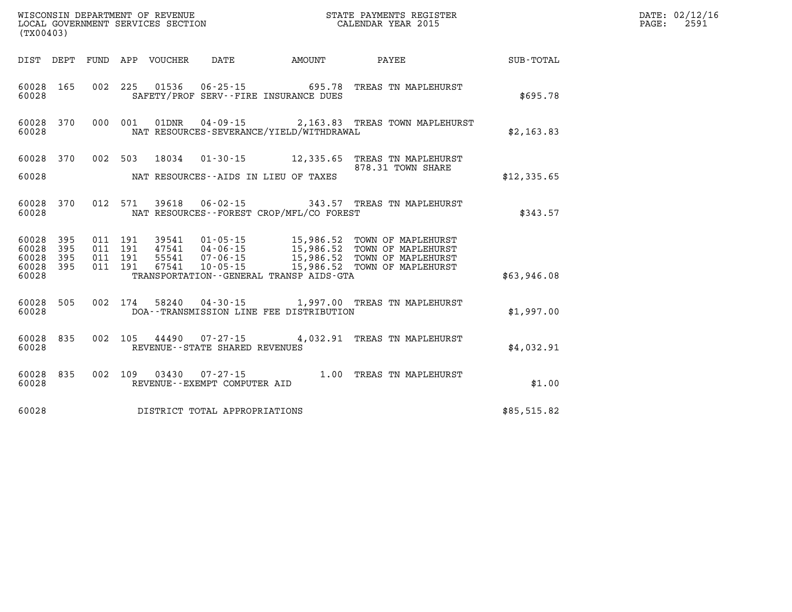|                | WISCONSIN DEPARTMENT OF REVENUE<br>LOCAL GOVERNMENT SERVICES SECTION<br>(TX00403) |                    |  |  |                                |                                              | STATE PAYMENTS REGISTER<br>CALENDAR YEAR 2015                                                                                                                                                    |             | DATE: 02/12/16<br>2591<br>PAGE: |
|----------------|-----------------------------------------------------------------------------------|--------------------|--|--|--------------------------------|----------------------------------------------|--------------------------------------------------------------------------------------------------------------------------------------------------------------------------------------------------|-------------|---------------------------------|
|                |                                                                                   |                    |  |  |                                | DIST DEPT FUND APP VOUCHER DATE AMOUNT       | <b>PAYEE</b>                                                                                                                                                                                     | SUB-TOTAL   |                                 |
| 60028          | 60028 165                                                                         |                    |  |  |                                | SAFETY/PROF SERV--FIRE INSURANCE DUES        | 002 225 01536 06-25-15 695.78 TREAS TN MAPLEHURST                                                                                                                                                | \$695.78    |                                 |
| 60028          | 60028 370 000 001                                                                 |                    |  |  |                                | NAT RESOURCES-SEVERANCE/YIELD/WITHDRAWAL     | 01DNR  04-09-15  2,163.83  TREAS TOWN MAPLEHURST                                                                                                                                                 | \$2,163.83  |                                 |
|                |                                                                                   |                    |  |  |                                |                                              | 60028 370 002 503 18034 01-30-15 12,335.65 TREAS TN MAPLEHURST<br>878.31 TOWN SHARE                                                                                                              |             |                                 |
| 60028          |                                                                                   |                    |  |  |                                | NAT RESOURCES--AIDS IN LIEU OF TAXES         |                                                                                                                                                                                                  | \$12,335.65 |                                 |
| 60028          | 60028 370                                                                         |                    |  |  |                                | NAT RESOURCES - - FOREST CROP/MFL/CO FOREST  | 012 571 39618 06-02-15 343.57 TREAS TN MAPLEHURST                                                                                                                                                | \$343.57    |                                 |
| 60028<br>60028 | 395<br>395                                                                        | 011 191<br>011 191 |  |  |                                |                                              |                                                                                                                                                                                                  |             |                                 |
| 60028          | 395<br>60028 395                                                                  | 011 191<br>011 191 |  |  |                                |                                              | 39541  01-05-15  15,986.52 TOWN OF MAPLEHURST<br>47541  04-06-15  15,986.52 TOWN OF MAPLEHURST<br>55541  07-06-15  15,986.52 TOWN OF MAPLEHURST<br>67541  10-05-15  15,986.52 TOWN OF MAPLEHURST |             |                                 |
| 60028          |                                                                                   |                    |  |  |                                | TRANSPORTATION - - GENERAL TRANSP AIDS - GTA |                                                                                                                                                                                                  | \$63,946.08 |                                 |
| 60028          | 60028 505                                                                         |                    |  |  |                                | DOA--TRANSMISSION LINE FEE DISTRIBUTION      | 002 174 58240 04-30-15 1,997.00 TREAS TN MAPLEHURST                                                                                                                                              | \$1,997.00  |                                 |
| 60028          | 60028 835                                                                         |                    |  |  | REVENUE--STATE SHARED REVENUES |                                              | 002 105 44490 07-27-15 4,032.91 TREAS TN MAPLEHURST                                                                                                                                              | \$4,032.91  |                                 |
| 60028          | 60028 835 002 109                                                                 |                    |  |  | REVENUE--EXEMPT COMPUTER AID   |                                              | 03430  07-27-15  1.00  TREAS TN MAPLEHURST                                                                                                                                                       | \$1.00      |                                 |
| 60028          |                                                                                   |                    |  |  | DISTRICT TOTAL APPROPRIATIONS  |                                              |                                                                                                                                                                                                  | \$85,515.82 |                                 |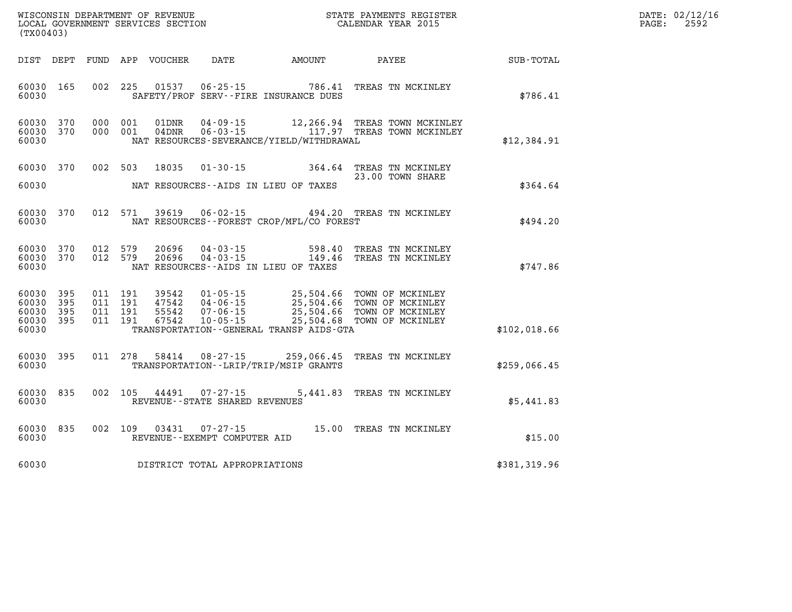| WISCONSIN DEPARTMENT OF REVENUE<br>LOCAL GOVERNMENT SERVICES SECTION<br>(TWAR YEAR 2015)<br>(TX00403) |  |  |                                          |                            |                                                          | DATE: 02/12/16<br>$\mathtt{PAGE:}$<br>2592   |                                                                                                                                                                                              |              |  |
|-------------------------------------------------------------------------------------------------------|--|--|------------------------------------------|----------------------------|----------------------------------------------------------|----------------------------------------------|----------------------------------------------------------------------------------------------------------------------------------------------------------------------------------------------|--------------|--|
|                                                                                                       |  |  |                                          | DIST DEPT FUND APP VOUCHER |                                                          |                                              | DATE AMOUNT PAYEE SUB-TOTAL                                                                                                                                                                  |              |  |
| 60030 165<br>60030                                                                                    |  |  |                                          |                            |                                                          | SAFETY/PROF SERV--FIRE INSURANCE DUES        | 002 225 01537 06-25-15 786.41 TREAS TN MCKINLEY                                                                                                                                              | \$786.41     |  |
| 60030 370<br>60030 370<br>60030                                                                       |  |  | 000 001<br>000 001                       | 01DNR<br>04DNR             |                                                          | NAT RESOURCES-SEVERANCE/YIELD/WITHDRAWAL     | 04-09-15 12,266.94 TREAS TOWN MCKINLEY<br>06-03-15 117.97 TREAS TOWN MCKINLEY                                                                                                                | \$12,384.91  |  |
| 60030 370<br>60030                                                                                    |  |  |                                          |                            |                                                          | NAT RESOURCES--AIDS IN LIEU OF TAXES         | 002 503 18035 01-30-15 364.64 TREAS TN MCKINLEY<br>23.00 TOWN SHARE                                                                                                                          | \$364.64     |  |
| 60030 370<br>60030                                                                                    |  |  |                                          |                            |                                                          | NAT RESOURCES--FOREST CROP/MFL/CO FOREST     | 012 571 39619 06-02-15 494.20 TREAS TN MCKINLEY                                                                                                                                              | \$494.20     |  |
| 60030 370<br>60030 370<br>60030                                                                       |  |  | 012 579<br>012 579                       |                            |                                                          | NAT RESOURCES--AIDS IN LIEU OF TAXES         | 20696  04-03-15  598.40 TREAS TN MCKINLEY<br>20696  04-03-15  149.46 TREAS TN MCKINLEY                                                                                                       | \$747.86     |  |
| 60030 395<br>60030 395<br>60030 395<br>60030 395<br>60030                                             |  |  | 011 191<br>011 191<br>011 191<br>011 191 |                            |                                                          | TRANSPORTATION - - GENERAL TRANSP AIDS - GTA | 39542  01-05-15  25,504.66  TOWN OF MCKINLEY<br>47542  04-06-15  25,504.66  TOWN OF MCKINLEY<br>55542  07-06-15  25,504.66  TOWN OF MCKINLEY<br>67542  10-05-15  25,504.68  TOWN OF MCKINLEY | \$102,018.66 |  |
| 60030 395<br>60030                                                                                    |  |  |                                          |                            |                                                          | TRANSPORTATION - - LRIP/TRIP/MSIP GRANTS     | 011 278 58414 08-27-15 259,066.45 TREAS TN MCKINLEY                                                                                                                                          | \$259,066.45 |  |
| 60030 835<br>60030                                                                                    |  |  |                                          |                            | 002 105 44491 07-27-15<br>REVENUE--STATE SHARED REVENUES |                                              | 5,441.83 TREAS TN MCKINLEY                                                                                                                                                                   | \$5,441.83   |  |
| 60030 835<br>60030                                                                                    |  |  |                                          |                            | 002 109 03431 07-27-15<br>REVENUE--EXEMPT COMPUTER AID   |                                              | 15.00 TREAS TN MCKINLEY                                                                                                                                                                      | \$15.00      |  |
| 60030                                                                                                 |  |  |                                          |                            | DISTRICT TOTAL APPROPRIATIONS                            |                                              |                                                                                                                                                                                              | \$381,319.96 |  |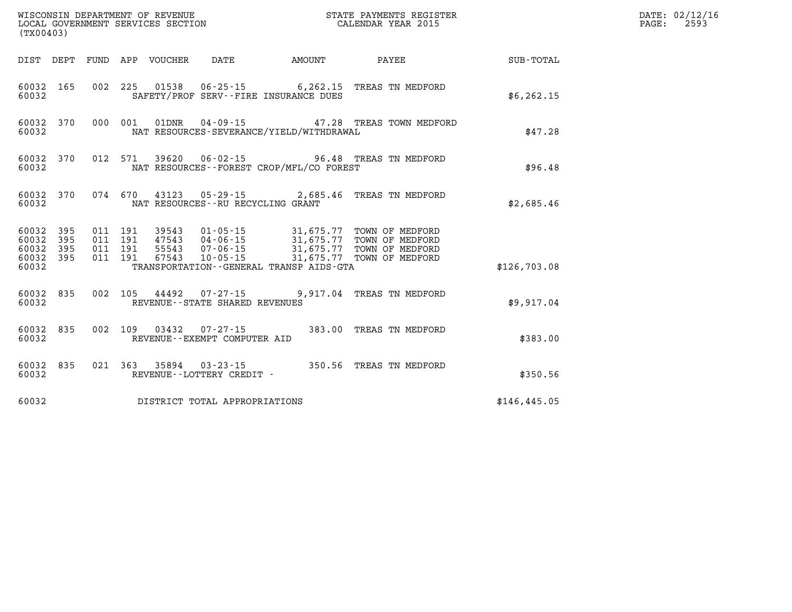|                                              | WISCONSIN DEPARTMENT OF REVENUE<br>LOCAL GOVERNMENT SERVICES SECTION<br>LOCAL GOVERNMENT SERVICES SECTION<br>CALENDAR YEAR 2015<br>(TX00403) |  |  |                                      |                                          |  |                                                  | $\mathtt{PAGE:}$ | DATE: 02/12/16<br>2593 |  |
|----------------------------------------------|----------------------------------------------------------------------------------------------------------------------------------------------|--|--|--------------------------------------|------------------------------------------|--|--------------------------------------------------|------------------|------------------------|--|
| DIST DEPT                                    |                                                                                                                                              |  |  |                                      |                                          |  |                                                  |                  |                        |  |
| 60032                                        | 60032 165                                                                                                                                    |  |  |                                      | SAFETY/PROF SERV--FIRE INSURANCE DUES    |  | 002 225 01538 06-25-15 6,262.15 TREAS TN MEDFORD | \$6, 262.15      |                        |  |
| 60032                                        | 60032 370                                                                                                                                    |  |  |                                      | NAT RESOURCES-SEVERANCE/YIELD/WITHDRAWAL |  | 000 001 01DNR 04-09-15 47.28 TREAS TOWN MEDFORD  | \$47.28          |                        |  |
| 60032                                        | 60032 370                                                                                                                                    |  |  |                                      | NAT RESOURCES--FOREST CROP/MFL/CO FOREST |  | 012 571 39620 06-02-15 96.48 TREAS TN MEDFORD    | \$96.48          |                        |  |
| 60032                                        | 60032 370                                                                                                                                    |  |  | NAT RESOURCES - - RU RECYCLING GRANT |                                          |  | 074 670 43123 05-29-15 2,685.46 TREAS TN MEDFORD | \$2,685.46       |                        |  |
| 60032 395<br>60032<br>60032 395<br>60032 395 | 395                                                                                                                                          |  |  |                                      |                                          |  |                                                  |                  |                        |  |
| 60032                                        |                                                                                                                                              |  |  |                                      | TRANSPORTATION--GENERAL TRANSP AIDS-GTA  |  |                                                  | \$126,703.08     |                        |  |
| 60032                                        | 60032 835                                                                                                                                    |  |  | REVENUE - - STATE SHARED REVENUES    |                                          |  | 002 105 44492 07-27-15 9,917.04 TREAS TN MEDFORD | \$9,917.04       |                        |  |
| 60032 835<br>60032                           |                                                                                                                                              |  |  | REVENUE--EXEMPT COMPUTER AID         |                                          |  | 002 109 03432 07-27-15 383.00 TREAS TN MEDFORD   | \$383.00         |                        |  |
| 60032 835<br>60032                           |                                                                                                                                              |  |  | REVENUE - - LOTTERY CREDIT -         |                                          |  | 021 363 35894 03-23-15 350.56 TREAS TN MEDFORD   | \$350.56         |                        |  |
| 60032                                        |                                                                                                                                              |  |  | DISTRICT TOTAL APPROPRIATIONS        |                                          |  |                                                  | \$146, 445.05    |                        |  |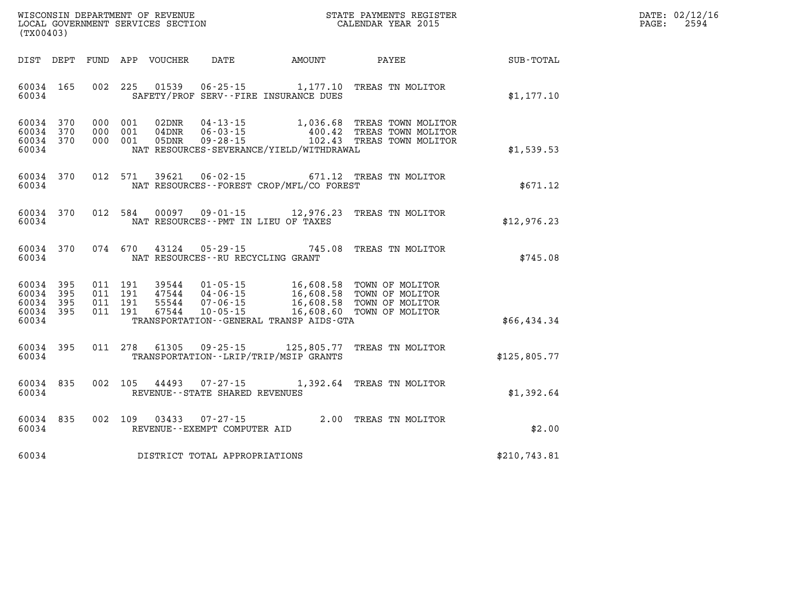| $\mathtt{DATE}$ : | 02/12/16 |
|-------------------|----------|
| PAGE:             | 2594     |

| WISCONSIN DEPARTMENT OF REVENUE<br>(TX00403)                                                      | LOCAL GOVERNMENT SERVICES SECTION                                                                                                                                               |                                                  | STATE PAYMENTS REGISTER<br>CALENDAR YEAR 2015                            |              |
|---------------------------------------------------------------------------------------------------|---------------------------------------------------------------------------------------------------------------------------------------------------------------------------------|--------------------------------------------------|--------------------------------------------------------------------------|--------------|
| DEPT<br>FUND<br>DIST                                                                              | APP<br><b>VOUCHER</b><br>DATE                                                                                                                                                   | <b>AMOUNT</b>                                    | PAYEE                                                                    | SUB-TOTAL    |
| 002<br>60034<br>165<br>60034                                                                      | 225<br>01539<br>$06 - 25 - 15$<br>SAFETY/PROF SERV--FIRE INSURANCE DUES                                                                                                         | 1,177.10                                         | TREAS TN MOLITOR                                                         | \$1,177.10   |
| 60034<br>370<br>000<br>60034<br>370<br>000<br>60034<br>370<br>000<br>60034                        | 02DNR<br>001<br>$04 - 13 - 15$<br>001<br>04DNR<br>$06 - 03 - 15$<br>001<br>$09 - 28 - 15$<br>05DNR<br>NAT RESOURCES-SEVERANCE/YIELD/WITHDRAWAL                                  | 1,036.68<br>400.42<br>102.43                     | TREAS TOWN MOLITOR<br>TREAS TOWN MOLITOR<br>TREAS TOWN MOLITOR           | \$1,539.53   |
| 370<br>012<br>60034<br>60034                                                                      | 571<br>39621<br>$06 - 02 - 15$<br>NAT RESOURCES - - FOREST CROP/MFL/CO FOREST                                                                                                   | 671.12                                           | TREAS TN MOLITOR                                                         | \$671.12     |
| 370<br>012<br>60034<br>60034                                                                      | 584<br>00097<br>$09 - 01 - 15$<br>NAT RESOURCES - PMT IN LIEU OF TAXES                                                                                                          | 12,976.23                                        | TREAS TN MOLITOR                                                         | \$12,976.23  |
| 370<br>60034<br>60034                                                                             | 074 670<br>43124<br>$05 - 29 - 15$<br>NAT RESOURCES - - RU RECYCLING GRANT                                                                                                      | 745.08                                           | TREAS TN MOLITOR                                                         | \$745.08     |
| 395<br>011<br>60034<br>60034<br>395<br>011<br>60034<br>395<br>011<br>60034<br>395<br>011<br>60034 | 191<br>39544<br>$01 - 05 - 15$<br>191<br>47544<br>$04 - 06 - 15$<br>191<br>55544<br>$07 - 06 - 15$<br>191<br>67544<br>$10 - 05 - 15$<br>TRANSPORTATION--GENERAL TRANSP AIDS-GTA | 16,608.58<br>16,608.58<br>16,608.58<br>16,608.60 | TOWN OF MOLITOR<br>TOWN OF MOLITOR<br>TOWN OF MOLITOR<br>TOWN OF MOLITOR | \$66,434.34  |
| 395<br>011<br>60034<br>60034                                                                      | 278<br>61305<br>$09 - 25 - 15$<br>TRANSPORTATION - - LRIP/TRIP/MSIP GRANTS                                                                                                      | 125,805.77                                       | TREAS TN MOLITOR                                                         | \$125,805.77 |
| 60034<br>835<br>002<br>60034                                                                      | 105<br>44493<br>$07 - 27 - 15$<br>REVENUE - - STATE SHARED REVENUES                                                                                                             | 1,392.64                                         | TREAS TN MOLITOR                                                         | \$1,392.64   |
| 835<br>002<br>60034<br>60034                                                                      | 109<br>03433<br>$07 - 27 - 15$<br>REVENUE - - EXEMPT COMPUTER AID                                                                                                               | 2.00                                             | TREAS TN MOLITOR                                                         | \$2.00       |
| 60034                                                                                             | DISTRICT TOTAL APPROPRIATIONS                                                                                                                                                   |                                                  |                                                                          | \$210,743.81 |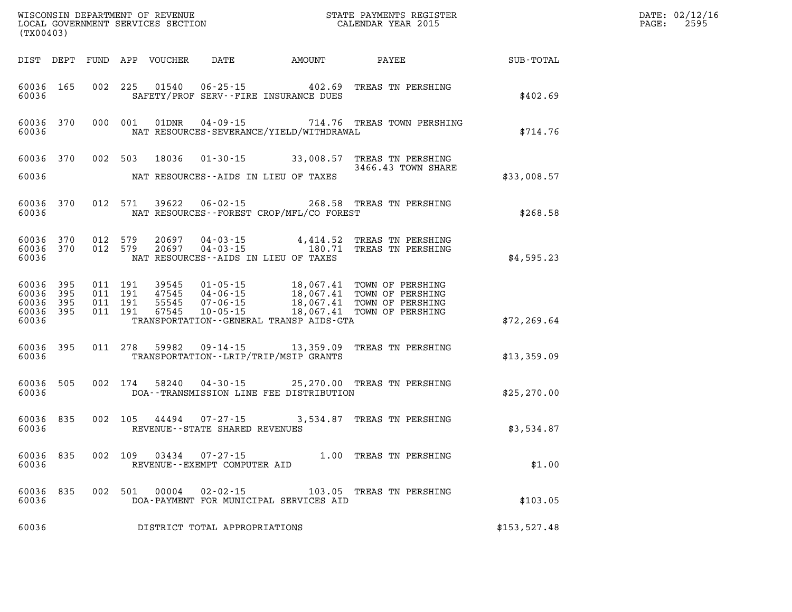|                                                           | (TX00403) |                   |                                          |               |                                |                                          |                                                                                                                                                                                              |               | DATE: 02/12/16<br>PAGE: 2595 |
|-----------------------------------------------------------|-----------|-------------------|------------------------------------------|---------------|--------------------------------|------------------------------------------|----------------------------------------------------------------------------------------------------------------------------------------------------------------------------------------------|---------------|------------------------------|
|                                                           |           |                   |                                          |               |                                |                                          | DIST DEPT FUND APP VOUCHER DATE AMOUNT PAYEE SUB-TOTAL                                                                                                                                       |               |                              |
| 60036 165<br>60036                                        |           |                   | 002 225                                  |               |                                | SAFETY/PROF SERV--FIRE INSURANCE DUES    | 01540  06-25-15  402.69  TREAS TN PERSHING                                                                                                                                                   | \$402.69      |                              |
| 60036 370<br>60036                                        |           |                   | 000 001                                  | 01DNR         |                                | NAT RESOURCES-SEVERANCE/YIELD/WITHDRAWAL | 04-09-15 714.76 TREAS TOWN PERSHING                                                                                                                                                          | \$714.76      |                              |
|                                                           |           |                   |                                          |               |                                |                                          | 60036 370 002 503 18036 01-30-15 33,008.57 TREAS TN PERSHING<br>3466.43 TOWN SHARE                                                                                                           |               |                              |
| 60036                                                     |           |                   |                                          |               |                                | NAT RESOURCES--AIDS IN LIEU OF TAXES     |                                                                                                                                                                                              | \$33,008.57   |                              |
| 60036                                                     | 60036 370 |                   |                                          |               |                                | NAT RESOURCES--FOREST CROP/MFL/CO FOREST | 012 571 39622 06-02-15 268.58 TREAS TN PERSHING                                                                                                                                              | \$268.58      |                              |
| 60036                                                     | 60036 370 | 60036 370 012 579 | 012 579                                  |               |                                | NAT RESOURCES--AIDS IN LIEU OF TAXES     | 20697  04-03-15  4,414.52  TREAS TN PERSHING<br>20697  04-03-15  180.71  TREAS TN PERSHING                                                                                                   | \$4,595.23    |                              |
| 60036 395<br>60036 395<br>60036 395<br>60036 395<br>60036 |           |                   | 011 191<br>011 191<br>011 191<br>011 191 |               |                                | TRANSPORTATION--GENERAL TRANSP AIDS-GTA  | 39545  01-05-15  18,067.41  TOWN OF PERSHING<br>47545  04-06-15  18,067.41  TOWN OF PERSHING<br>55545  07-06-15  18,067.41  TOWN OF PERSHING<br>67545  10-05-15  18,067.41  TOWN OF PERSHING | \$72, 269.64  |                              |
| 60036 395<br>60036                                        |           |                   |                                          |               |                                | TRANSPORTATION - - LRIP/TRIP/MSIP GRANTS | 011 278 59982 09-14-15 13,359.09 TREAS TN PERSHING                                                                                                                                           | \$13,359.09   |                              |
| 60036 505<br>60036                                        |           |                   |                                          | 002 174 58240 |                                | DOA--TRANSMISSION LINE FEE DISTRIBUTION  | 04-30-15 25,270.00 TREAS TN PERSHING                                                                                                                                                         | \$25, 270.00  |                              |
| 60036                                                     | 60036 835 |                   |                                          |               | REVENUE--STATE SHARED REVENUES |                                          | 002 105 44494 07-27-15 3,534.87 TREAS TN PERSHING                                                                                                                                            | \$3,534.87    |                              |
| 60036                                                     | 60036 835 |                   |                                          | 002 109 03434 | REVENUE--EXEMPT COMPUTER AID   |                                          | 07-27-15 1.00 TREAS TN PERSHING                                                                                                                                                              | \$1.00        |                              |
| 60036                                                     | 60036 835 |                   |                                          | 002 501 00004 |                                | DOA-PAYMENT FOR MUNICIPAL SERVICES AID   | 02-02-15 103.05 TREAS TN PERSHING                                                                                                                                                            | \$103.05      |                              |
| 60036                                                     |           |                   |                                          |               | DISTRICT TOTAL APPROPRIATIONS  |                                          |                                                                                                                                                                                              | \$153, 527.48 |                              |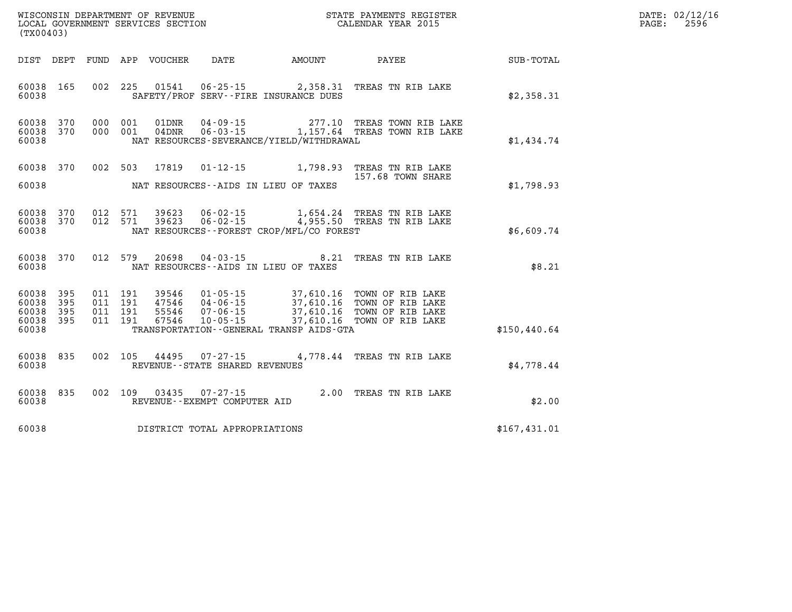| $\mathtt{DATE}$ : | 02/12/16 |
|-------------------|----------|
| PAGE:             | 2596     |

| (TX00403)                                                             |                          | WISCONSIN DEPARTMENT OF REVENUE<br>LOCAL GOVERNMENT SERVICES SECTION                                                                                                            |                                                  | STATE PAYMENTS REGISTER<br>CALENDAR YEAR 2015                                |               |
|-----------------------------------------------------------------------|--------------------------|---------------------------------------------------------------------------------------------------------------------------------------------------------------------------------|--------------------------------------------------|------------------------------------------------------------------------------|---------------|
| DIST<br>DEPT                                                          | FUND                     | APP<br>VOUCHER<br>DATE<br><b>AMOUNT</b>                                                                                                                                         |                                                  | <b>PAYEE</b>                                                                 | SUB-TOTAL     |
| 165<br>60038<br>60038                                                 | 002                      | 225<br>01541<br>$06 - 25 - 15$<br>SAFETY/PROF SERV--FIRE INSURANCE DUES                                                                                                         | 2,358.31                                         | TREAS TN RIB LAKE                                                            | \$2,358.31    |
| 60038<br>370<br>60038<br>370<br>60038                                 | 000<br>000               | 001<br>01DNR<br>$04 - 09 - 15$<br>$04$ DNR<br>001<br>NAT RESOURCES-SEVERANCE/YIELD/WITHDRAWAL                                                                                   |                                                  | 277.10 TREAS TOWN RIB LAKE<br>06-03-15 1,157.64 TREAS TOWN RIB LAKE          | \$1,434.74    |
| 60038<br>370<br>60038                                                 | 002                      | 503<br>17819<br>$01 - 12 - 15$<br>NAT RESOURCES--AIDS IN LIEU OF TAXES                                                                                                          | 1,798.93                                         | TREAS TN RIB LAKE<br>157.68 TOWN SHARE                                       | \$1,798.93    |
| 60038<br>370<br>370<br>60038<br>60038                                 | 012<br>012               | $06 - 02 - 15$<br>571<br>39623<br>$06 - 02 - 15$<br>571<br>39623<br>NAT RESOURCES - - FOREST CROP/MFL/CO FOREST                                                                 | 1,654.24<br>4,955.50                             | TREAS TN RIB LAKE<br>TREAS TN RIB LAKE                                       | \$6,609.74    |
| 370<br>60038<br>60038                                                 | 012                      | 579<br>20698<br>$04 - 03 - 15$<br>NAT RESOURCES -- AIDS IN LIEU OF TAXES                                                                                                        | 8.21                                             | TREAS TN RIB LAKE                                                            | \$8.21        |
| 395<br>60038<br>395<br>60038<br>60038<br>395<br>395<br>60038<br>60038 | 011<br>011<br>011<br>011 | 191<br>39546<br>$01 - 05 - 15$<br>191<br>47546<br>$04 - 06 - 15$<br>191<br>55546<br>$07 - 06 - 15$<br>67546<br>191<br>$10 - 05 - 15$<br>TRANSPORTATION--GENERAL TRANSP AIDS-GTA | 37,610.16<br>37,610.16<br>37,610.16<br>37,610.16 | TOWN OF RIB LAKE<br>TOWN OF RIB LAKE<br>TOWN OF RIB LAKE<br>TOWN OF RIB LAKE | \$150, 440.64 |
| 60038<br>835<br>60038                                                 | 002                      | 105<br>44495<br>$07 - 27 - 15$<br>REVENUE - - STATE SHARED REVENUES                                                                                                             |                                                  | 4,778.44 TREAS TN RIB LAKE                                                   | \$4,778.44    |
| 835<br>60038<br>60038                                                 | 002                      | 109<br>03435<br>$07 - 27 - 15$<br>REVENUE--EXEMPT COMPUTER AID                                                                                                                  |                                                  | 2.00 TREAS TN RIB LAKE                                                       | \$2.00        |
| 60038                                                                 |                          | DISTRICT TOTAL APPROPRIATIONS                                                                                                                                                   |                                                  |                                                                              | \$167,431.01  |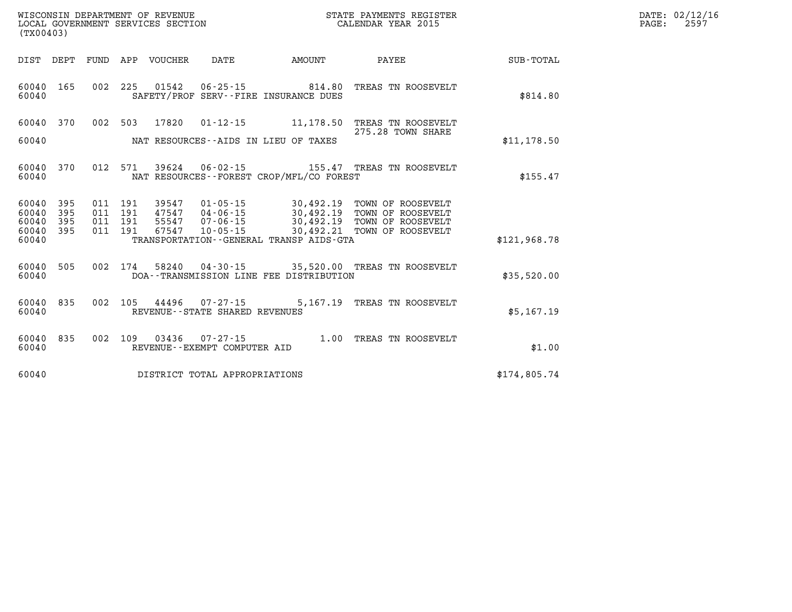| DATE: | 02/12/16 |
|-------|----------|
| PAGE: | 2597     |

| (TX00403)               |            |             |            | WISCONSIN DEPARTMENT OF REVENUE<br>LOCAL GOVERNMENT SERVICES SECTION |                                                   |                                                                   | STATE PAYMENTS REGISTER<br>CALENDAR YEAR 2015 |              |
|-------------------------|------------|-------------|------------|----------------------------------------------------------------------|---------------------------------------------------|-------------------------------------------------------------------|-----------------------------------------------|--------------|
| DIST                    | DEPT       | <b>FUND</b> | APP        | <b>VOUCHER</b>                                                       | DATE                                              | <b>AMOUNT</b>                                                     | PAYEE                                         | SUB-TOTAL    |
| 60040<br>60040          | 165        | 002         | 225        | 01542                                                                | $06 - 25 - 15$                                    | 814.80<br>SAFETY/PROF SERV--FIRE INSURANCE DUES                   | TREAS TN ROOSEVELT                            | \$814.80     |
| 60040                   | 370        | 002         | 503        | 17820                                                                | $01 - 12 - 15$                                    | 11,178.50                                                         | TREAS TN ROOSEVELT<br>275.28 TOWN SHARE       |              |
| 60040                   |            |             |            |                                                                      |                                                   | NAT RESOURCES -- AIDS IN LIEU OF TAXES                            |                                               | \$11,178.50  |
| 60040<br>60040          | 370        | 012         | 571        | 39624                                                                | 06-02-15                                          | NAT RESOURCES--FOREST CROP/MFL/CO FOREST                          | 155.47 TREAS TN ROOSEVELT                     | \$155.47     |
| 60040<br>60040          | 395<br>395 | 011<br>011  | 191<br>191 | 39547<br>47547                                                       | $01 - 05 - 15$<br>$04 - 06 - 15$                  | 30,492.19<br>30,492.19                                            | TOWN OF ROOSEVELT<br>TOWN OF ROOSEVELT        |              |
| 60040<br>60040<br>60040 | 395<br>395 | 011<br>011  | 191<br>191 | 55547<br>67547                                                       | $07 - 06 - 15$<br>$10 - 05 - 15$                  | 30,492.19<br>30,492.21<br>TRANSPORTATION--GENERAL TRANSP AIDS-GTA | TOWN OF ROOSEVELT<br>TOWN OF ROOSEVELT        | \$121,968.78 |
| 60040<br>60040          | 505        | 002         | 174        | 58240                                                                | $04 - 30 - 15$                                    | 35,520.00<br>DOA--TRANSMISSION LINE FEE DISTRIBUTION              | TREAS TN ROOSEVELT                            | \$35,520.00  |
| 60040<br>60040          | 835        | 002         | 105        | 44496                                                                | 07-27-15<br>REVENUE - - STATE SHARED REVENUES     | 5,167.19                                                          | TREAS TN ROOSEVELT                            | \$5,167.19   |
| 60040<br>60040          | 835        | 002         | 109        | 03436                                                                | $07 - 27 - 15$<br>REVENUE - - EXEMPT COMPUTER AID | 1.00                                                              | TREAS TN ROOSEVELT                            | \$1.00       |
| 60040                   |            |             |            |                                                                      | DISTRICT TOTAL APPROPRIATIONS                     |                                                                   |                                               | \$174,805.74 |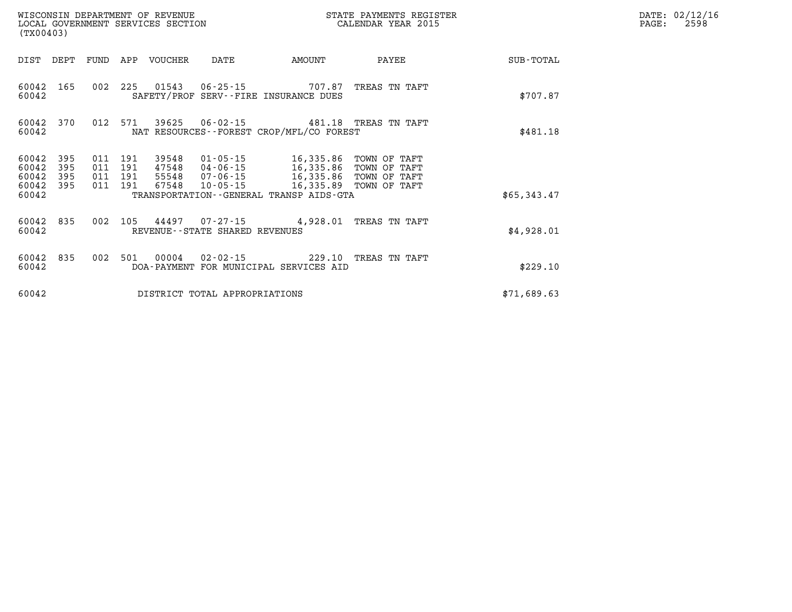| WISCONSIN DEPARTMENT OF REVENUE<br>LOCAL GOVERNMENT SERVICES SECTION<br>(TX00403) |                   |                                          |     |                            |                                   |                                                                                                                                                                              | STATE PAYMENTS REGISTER<br>CALENDAR YEAR 2015 |             | DATE: 02/12/16<br>2598<br>PAGE: |
|-----------------------------------------------------------------------------------|-------------------|------------------------------------------|-----|----------------------------|-----------------------------------|------------------------------------------------------------------------------------------------------------------------------------------------------------------------------|-----------------------------------------------|-------------|---------------------------------|
|                                                                                   |                   |                                          |     | DIST DEPT FUND APP VOUCHER | DATE                              | <b>AMOUNT</b>                                                                                                                                                                | PAYEE                                         | SUB-TOTAL   |                                 |
| 60042 165<br>60042                                                                |                   | 002 225                                  |     |                            |                                   | SAFETY/PROF SERV--FIRE INSURANCE DUES                                                                                                                                        | TREAS TN TAFT                                 | \$707.87    |                                 |
| 60042                                                                             |                   |                                          |     |                            |                                   | 60042 370 012 571 39625 06-02-15 481.18 TREAS TN TAFT<br>NAT RESOURCES - - FOREST CROP/MFL/CO FOREST                                                                         |                                               | \$481.18    |                                 |
| 60042<br>60042<br>60042<br>60042 395                                              | 395<br>395<br>395 | 011 191<br>011 191<br>011 191<br>011 191 |     |                            |                                   | 39548  01-05-15  16,335.86  TOWN OF TAFT<br>47548  04-06-15  16,335.86  TOWN OF TAFT<br>55548  07-06-15  16,335.86  TOWN OF TAFT<br>67548  10-05-15  16,335.89  TOWN OF TAFT |                                               |             |                                 |
| 60042                                                                             |                   |                                          |     |                            |                                   | TRANSPORTATION--GENERAL TRANSP AIDS-GTA                                                                                                                                      |                                               | \$65,343.47 |                                 |
| 60042 835<br>60042                                                                |                   | 002                                      |     |                            | REVENUE - - STATE SHARED REVENUES | 105 44497 07-27-15 4,928.01 TREAS TN TAFT                                                                                                                                    |                                               | \$4,928.01  |                                 |
| 60042 835<br>60042                                                                |                   | 002                                      | 501 |                            |                                   | 00004  02-02-15  229.10 TREAS TN TAFT<br>DOA-PAYMENT FOR MUNICIPAL SERVICES AID                                                                                              |                                               | \$229.10    |                                 |
| 60042                                                                             |                   |                                          |     |                            | DISTRICT TOTAL APPROPRIATIONS     |                                                                                                                                                                              |                                               | \$71,689.63 |                                 |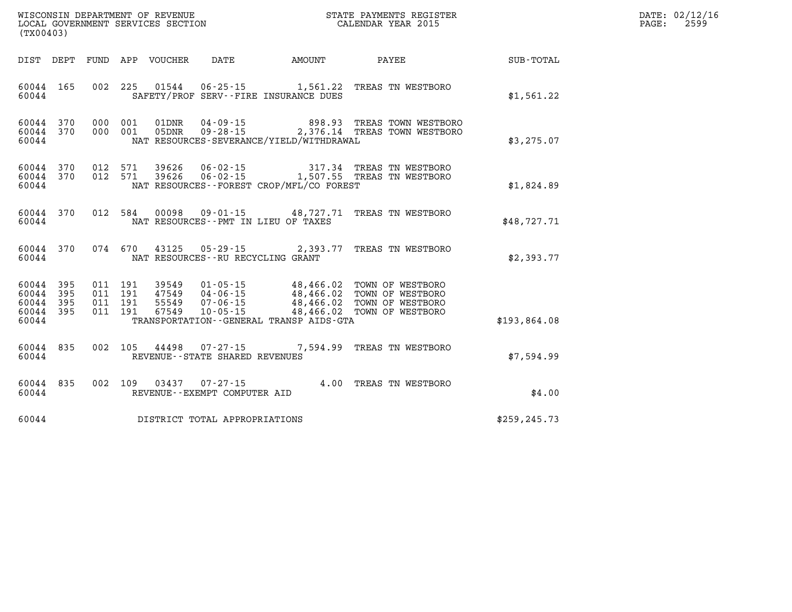|                                                           | WISCONSIN DEPARTMENT OF REVENUE<br>LOCAL GOVERNMENT SERVICES SECTION<br>LOCAL GOVERNMENT SERVICES SECTION<br>CALENDAR YEAR 2015<br>(TX00403) |  |  |  |                                   |                                              |                                                                                                                                                                                                                  | DATE: 02/12/16<br>$\mathtt{PAGE:}$<br>2599 |  |
|-----------------------------------------------------------|----------------------------------------------------------------------------------------------------------------------------------------------|--|--|--|-----------------------------------|----------------------------------------------|------------------------------------------------------------------------------------------------------------------------------------------------------------------------------------------------------------------|--------------------------------------------|--|
|                                                           |                                                                                                                                              |  |  |  |                                   | DIST DEPT FUND APP VOUCHER DATE AMOUNT       | PAYEE                                                                                                                                                                                                            | SUB-TOTAL                                  |  |
| 60044 165<br>60044                                        |                                                                                                                                              |  |  |  |                                   | SAFETY/PROF SERV--FIRE INSURANCE DUES        | 002 225 01544 06-25-15 1,561.22 TREAS TN WESTBORO                                                                                                                                                                | \$1,561.22                                 |  |
| 60044 370<br>60044 370<br>60044                           |                                                                                                                                              |  |  |  |                                   | NAT RESOURCES-SEVERANCE/YIELD/WITHDRAWAL     | 000 001 01DNR 04-09-15 898.93 TREAS TOWN WESTBORO<br>000 001 05DNR 09-28-15 2,376.14 TREAS TOWN WESTBORO                                                                                                         | \$3,275.07                                 |  |
| 60044 370<br>60044 370<br>60044                           |                                                                                                                                              |  |  |  |                                   | NAT RESOURCES - - FOREST CROP/MFL/CO FOREST  | $0.12$ 571 39626 $0.6$ -02-15 317.34 TREAS TN WESTBORO<br>012 571 39626 06-02-15 1,507.55 TREAS TN WESTBORO                                                                                                      | \$1,824.89                                 |  |
| 60044 370<br>60044                                        |                                                                                                                                              |  |  |  |                                   | NAT RESOURCES -- PMT IN LIEU OF TAXES        | 012 584 00098 09-01-15 48,727.71 TREAS TN WESTBORO                                                                                                                                                               | \$48,727.71                                |  |
| 60044<br>60044                                            | 370                                                                                                                                          |  |  |  | NAT RESOURCES--RU RECYCLING GRANT |                                              | 074 670 43125 05-29-15 2,393.77 TREAS TN WESTBORO                                                                                                                                                                | \$2,393.77                                 |  |
| 60044 395<br>60044 395<br>60044 395<br>60044 395<br>60044 |                                                                                                                                              |  |  |  |                                   | TRANSPORTATION - - GENERAL TRANSP AIDS - GTA | 011 191 39549 01-05-15 48,466.02 TOWN OF WESTBORO<br>011 191 47549 04-06-15 48,466.02 TOWN OF WESTBORO<br>011 191 67549 10-05-15 48,466.02 TOWN OF WESTBORO<br>011 191 67549 10-05-15 48,466.02 TOWN OF WESTBORO | \$193,864.08                               |  |
| 60044<br>60044                                            | 835                                                                                                                                          |  |  |  | REVENUE - - STATE SHARED REVENUES |                                              | 002 105 44498 07-27-15 7,594.99 TREAS TN WESTBORO                                                                                                                                                                | \$7,594.99                                 |  |
| 60044<br>60044                                            | 835                                                                                                                                          |  |  |  | REVENUE--EXEMPT COMPUTER AID      |                                              | 002 109 03437 07-27-15 4.00 TREAS TN WESTBORO                                                                                                                                                                    | \$4.00                                     |  |
| 60044                                                     |                                                                                                                                              |  |  |  | DISTRICT TOTAL APPROPRIATIONS     |                                              |                                                                                                                                                                                                                  | \$259, 245.73                              |  |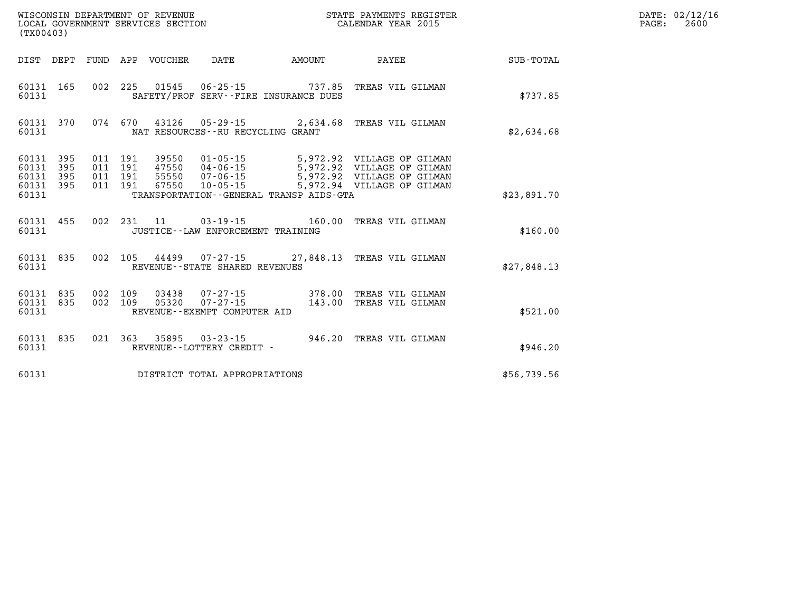|                                           | WISCONSIN DEPARTMENT OF REVENUE<br>LOCAL GOVERNMENT SERVICES SECTION<br>(TX00403) |                          |                          |                         |                                                                                  |                                                          | STATE PAYMENTS REGISTER<br>CALENDAR YEAR 2015                                                                                                      |             |
|-------------------------------------------|-----------------------------------------------------------------------------------|--------------------------|--------------------------|-------------------------|----------------------------------------------------------------------------------|----------------------------------------------------------|----------------------------------------------------------------------------------------------------------------------------------------------------|-------------|
| DIST                                      | DEPT                                                                              | <b>FUND</b>              | APP                      | VOUCHER                 | DATE                                                                             | AMOUNT                                                   | <b>PAYEE</b>                                                                                                                                       | SUB-TOTAL   |
| 60131<br>60131                            | 165                                                                               | 002                      | 225                      | 01545                   |                                                                                  | 06-25-15 737.85<br>SAFETY/PROF SERV--FIRE INSURANCE DUES | TREAS VIL GILMAN                                                                                                                                   | \$737.85    |
| 60131                                     | 60131 370                                                                         | 074                      | 670                      |                         | NAT RESOURCES -- RU RECYCLING GRANT                                              |                                                          | 43126 05-29-15 2,634.68 TREAS VIL GILMAN                                                                                                           | \$2,634.68  |
| 60131<br>60131<br>60131<br>60131<br>60131 | 395<br>395<br>395<br>395                                                          | 011<br>011<br>011<br>011 | 191<br>191<br>191<br>191 | 39550<br>55550<br>67550 | $01 - 05 - 15$<br>47550       04-06-15<br>55550       07-06-15<br>$10 - 05 - 15$ | TRANSPORTATION--GENERAL TRANSP AIDS-GTA                  | 5,972.92 VILLAGE OF GILMAN<br>5,972.92 VILLAGE OF GILMAN<br>5,972.92 VILLAGE OF GILMAN<br>5,972.92 VILLAGE OF GILMAN<br>5,972.94 VILLAGE OF GILMAN | \$23,891.70 |
| 60131 455<br>60131                        |                                                                                   | 002                      | 231                      | 11                      | $03 - 19 - 15$<br>JUSTICE - - LAW ENFORCEMENT TRAINING                           | 160.00                                                   | TREAS VIL GILMAN                                                                                                                                   | \$160.00    |
| 60131 835<br>60131                        |                                                                                   | 002                      | 105                      |                         | REVENUE - - STATE SHARED REVENUES                                                |                                                          | 44499 07-27-15 27,848.13 TREAS VIL GILMAN                                                                                                          | \$27,848.13 |
| 60131<br>60131<br>60131                   | 835<br>835                                                                        | 002<br>002               | 109<br>109               | 03438<br>05320          | $07 - 27 - 15$<br>$07 - 27 - 15$<br>REVENUE--EXEMPT COMPUTER AID                 | 378.00<br>143.00                                         | TREAS VIL GILMAN<br>TREAS VIL GILMAN                                                                                                               | \$521.00    |
| 60131<br>60131                            | 835                                                                               | 021                      | 363                      | 35895                   | $03 - 23 - 15$<br>REVENUE - - LOTTERY CREDIT -                                   | 946.20                                                   | TREAS VIL GILMAN                                                                                                                                   | \$946.20    |
| 60131                                     |                                                                                   |                          |                          |                         | DISTRICT TOTAL APPROPRIATIONS                                                    |                                                          |                                                                                                                                                    | \$56,739.56 |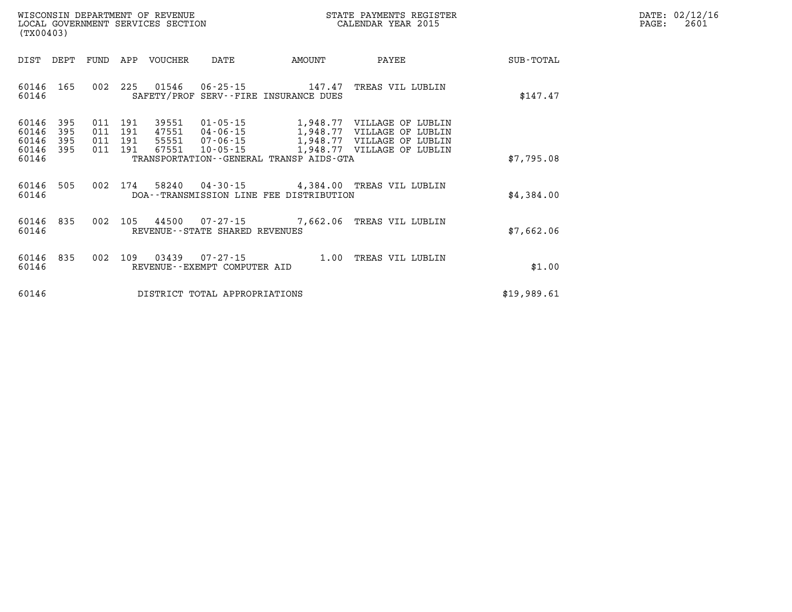| $\mathtt{DATE}$ : | 02/12/16 |
|-------------------|----------|
| PAGE:             | 2601     |

|                         | WISCONSIN DEPARTMENT OF REVENUE<br>STATE PAYMENTS REGISTER<br>CALENDAR YEAR 2015<br>LOCAL GOVERNMENT SERVICES SECTION<br>(TX00403) |                   |                   |                         |                                                |                                                     |                                                             |             |
|-------------------------|------------------------------------------------------------------------------------------------------------------------------------|-------------------|-------------------|-------------------------|------------------------------------------------|-----------------------------------------------------|-------------------------------------------------------------|-------------|
| DIST                    | DEPT                                                                                                                               | FUND              | APP               | <b>VOUCHER</b>          | DATE                                           | AMOUNT                                              | PAYEE                                                       | SUB-TOTAL   |
| 60146<br>60146          | 165                                                                                                                                | 002               | 225               |                         |                                                | 147.47<br>SAFETY/PROF SERV--FIRE INSURANCE DUES     | TREAS VIL LUBLIN                                            | \$147.47    |
| 60146<br>60146<br>60146 | 395<br>395<br>395                                                                                                                  | 011<br>011<br>011 | 191<br>191<br>191 | 39551<br>47551<br>55551 | $01 - 05 - 15$<br>$04 - 06 - 15$<br>07-06-15   | 1,948.77<br>1,948.77<br>1,948.77                    | VILLAGE OF LUBLIN<br>VILLAGE OF LUBLIN<br>VILLAGE OF LUBLIN |             |
| 60146<br>60146          | 395                                                                                                                                | 011               | 191               | 67551                   | $10 - 05 - 15$                                 | 1,948.77<br>TRANSPORTATION--GENERAL TRANSP AIDS-GTA | VILLAGE OF LUBLIN                                           | \$7,795.08  |
| 60146<br>60146          | 505                                                                                                                                | 002               | 174               | 58240                   |                                                | DOA--TRANSMISSION LINE FEE DISTRIBUTION             | 04-30-15 4,384.00 TREAS VIL LUBLIN                          | \$4,384.00  |
| 60146<br>60146          | 835                                                                                                                                | 002               | 105               | 44500                   | REVENUE--STATE SHARED REVENUES                 | $07 - 27 - 15$ 7,662.06                             | TREAS VIL LUBLIN                                            | \$7,662.06  |
| 60146<br>60146          | 835                                                                                                                                | 002               | 109               | 03439                   | $07 - 27 - 15$<br>REVENUE--EXEMPT COMPUTER AID | 1.00                                                | TREAS VIL LUBLIN                                            | \$1.00      |
| 60146                   |                                                                                                                                    |                   |                   |                         | DISTRICT TOTAL APPROPRIATIONS                  |                                                     |                                                             | \$19,989.61 |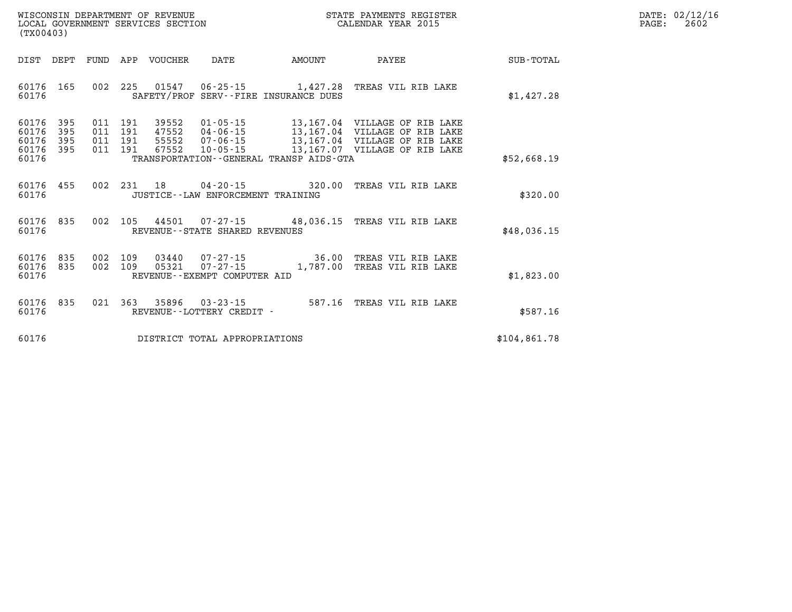| WISCONSIN DEPARTMENT OF REVENUE   | STATE PAYMENTS REGISTER | DATE: 02/12/16 |
|-----------------------------------|-------------------------|----------------|
| LOCAL GOVERNMENT SERVICES SECTION | CALENDAR YEAR 2015      | 2602<br>PAGE   |

| (TX00403)                                                             |                          |                                                                                                                                                                                 |                         |                                                                                                                                  |              |
|-----------------------------------------------------------------------|--------------------------|---------------------------------------------------------------------------------------------------------------------------------------------------------------------------------|-------------------------|----------------------------------------------------------------------------------------------------------------------------------|--------------|
| DIST<br>DEPT                                                          | FUND                     | APP<br>VOUCHER<br>DATE                                                                                                                                                          | AMOUNT                  | PAYEE                                                                                                                            | SUB-TOTAL    |
| 60176<br>165<br>60176                                                 | 002                      | 225<br>01547<br>SAFETY/PROF SERV--FIRE INSURANCE DUES                                                                                                                           | $06 - 25 - 15$ 1,427.28 | TREAS VIL RIB LAKE                                                                                                               | \$1,427.28   |
| 60176<br>395<br>60176<br>395<br>60176<br>395<br>395<br>60176<br>60176 | 011<br>011<br>011<br>011 | 191<br>39552<br>$01 - 05 - 15$<br>191<br>47552<br>$04 - 06 - 15$<br>191<br>55552<br>$07 - 06 - 15$<br>191<br>67552<br>$10 - 05 - 15$<br>TRANSPORTATION--GENERAL TRANSP AIDS-GTA |                         | 13,167.04 VILLAGE OF RIB LAKE<br>13,167.04 VILLAGE OF RIB LAKE<br>13,167.04 VILLAGE OF RIB LAKE<br>13,167.07 VILLAGE OF RIB LAKE | \$52,668.19  |
| 60176<br>455<br>60176                                                 | 002                      | 231<br>18<br>$04 - 20 - 15$<br>JUSTICE - - LAW ENFORCEMENT TRAINING                                                                                                             | 320.00                  | TREAS VIL RIB LAKE                                                                                                               | \$320.00     |
| 835<br>60176<br>60176                                                 | 002                      | 105<br>44501<br>$07 - 27 - 15$<br>REVENUE - - STATE SHARED REVENUES                                                                                                             | 48,036.15               | TREAS VIL RIB LAKE                                                                                                               | \$48,036.15  |
| 60176<br>835<br>835<br>60176<br>60176                                 | 002<br>002               | 109<br>03440<br>07-27-15<br>109<br>$07 - 27 - 15$<br>05321<br>REVENUE--EXEMPT COMPUTER AID                                                                                      | 36.00<br>1,787.00       | TREAS VIL RIB LAKE<br>TREAS VIL RIB LAKE                                                                                         | \$1,823.00   |
| 60176<br>835<br>60176                                                 | 021                      | 363<br>35896<br>$03 - 23 - 15$<br>REVENUE - - LOTTERY CREDIT -                                                                                                                  | 587.16                  | TREAS VIL RIB LAKE                                                                                                               | \$587.16     |
| 60176                                                                 |                          | DISTRICT TOTAL APPROPRIATIONS                                                                                                                                                   |                         |                                                                                                                                  | \$104,861.78 |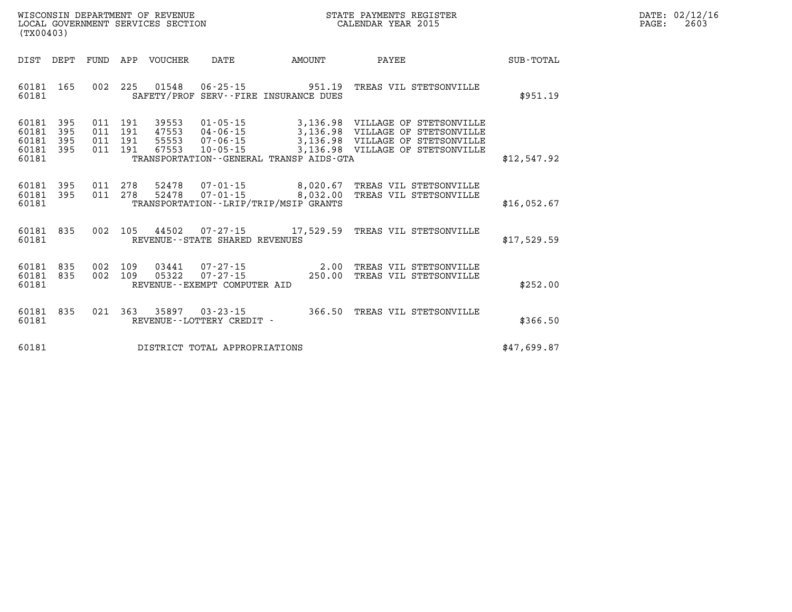| $\mathtt{DATE}$ : | 02/12/16 |
|-------------------|----------|
| PAGE:             | 2603     |

| DIST                                      | DEPT                     | <b>FUND</b>              | APP                      | VOUCHER                          | DATE                                                                 | AMOUNT                                                                                  | PAYEE                                                   |                                                              | <b>SUB-TOTAL</b> |
|-------------------------------------------|--------------------------|--------------------------|--------------------------|----------------------------------|----------------------------------------------------------------------|-----------------------------------------------------------------------------------------|---------------------------------------------------------|--------------------------------------------------------------|------------------|
| 60181<br>60181                            | 165                      | 002                      | 225                      | 01548                            | $06 - 25 - 15$                                                       | 951.19<br>SAFETY/PROF SERV--FIRE INSURANCE DUES                                         | TREAS VIL STETSONVILLE                                  |                                                              | \$951.19         |
| 60181<br>60181<br>60181<br>60181<br>60181 | 395<br>395<br>395<br>395 | 011<br>011<br>011<br>011 | 191<br>191<br>191<br>191 | 39553<br>47553<br>55553<br>67553 | $01 - 05 - 15$<br>$04 - 06 - 15$<br>$07 - 06 - 15$<br>$10 - 05 - 15$ | 3,136.98<br>3,136.98<br>3,136.98<br>3,136.98<br>TRANSPORTATION--GENERAL TRANSP AIDS-GTA | VILLAGE OF<br>VILLAGE<br>OF<br>VILLAGE OF<br>VILLAGE OF | STETSONVILLE<br>STETSONVILLE<br>STETSONVILLE<br>STETSONVILLE | \$12,547.92      |
| 60181<br>60181<br>60181                   | 395<br>395               | 011<br>011               | 278<br>278               | 52478<br>52478                   | $07 - 01 - 15$<br>$07 - 01 - 15$                                     | 8,020.67<br>8,032.00<br>TRANSPORTATION - - LRIP/TRIP/MSIP GRANTS                        | TREAS VIL STETSONVILLE<br>TREAS VIL STETSONVILLE        |                                                              | \$16,052.67      |
| 60181<br>60181                            | 835                      | 002                      | 105                      | 44502                            | $07 - 27 - 15$<br>REVENUE--STATE SHARED REVENUES                     | 17,529.59                                                                               | TREAS VIL STETSONVILLE                                  |                                                              | \$17,529.59      |
| 60181<br>60181<br>60181                   | 835<br>835               | 002<br>002               | 109<br>109               | 03441<br>05322                   | $07 - 27 - 15$<br>$07 - 27 - 15$<br>REVENUE - - EXEMPT COMPUTER AID  | 2.00<br>250.00                                                                          | TREAS VIL STETSONVILLE<br>TREAS VIL STETSONVILLE        |                                                              | \$252.00         |
| 60181<br>60181                            | 835                      | 021                      | 363                      | 35897                            | $03 - 23 - 15$<br>REVENUE - - LOTTERY CREDIT -                       | 366.50                                                                                  | TREAS VIL STETSONVILLE                                  |                                                              | \$366.50         |
| 60181                                     |                          |                          |                          |                                  | DISTRICT TOTAL APPROPRIATIONS                                        |                                                                                         |                                                         |                                                              | \$47,699.87      |

LOCAL GOVERNMENT SERVICES SECTION

**(TX00403)**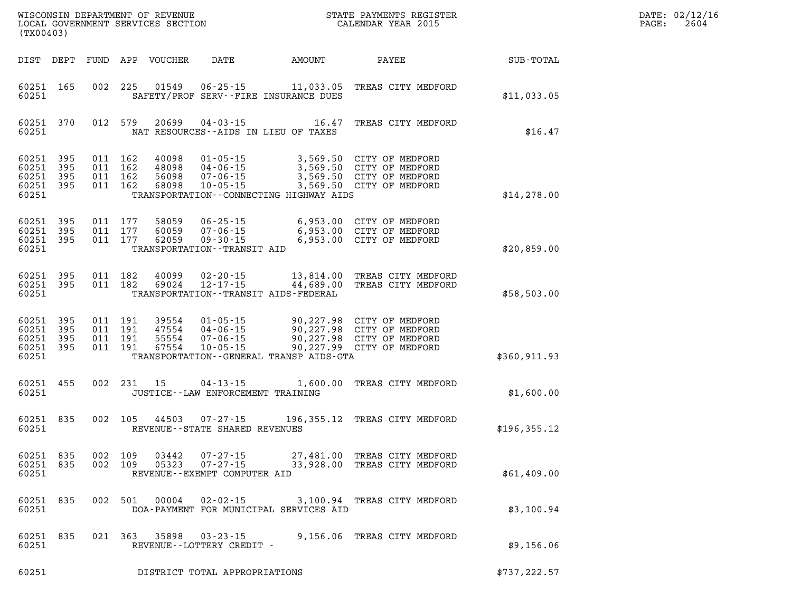| DATE: | 02/12/16 |
|-------|----------|
| PAGE: | 2604     |

| (TX00403)                                                    |                                                                                                                                                                                                                                                                             | STATE PAYMENTS REGISTER                                                                   |               | DATE: 02/12/1<br>2604<br>PAGE: |
|--------------------------------------------------------------|-----------------------------------------------------------------------------------------------------------------------------------------------------------------------------------------------------------------------------------------------------------------------------|-------------------------------------------------------------------------------------------|---------------|--------------------------------|
| DIST DEPT                                                    | FUND APP VOUCHER<br><b>DATE</b>                                                                                                                                                                                                                                             | AMOUNT PAYEE                                                                              | SUB-TOTAL     |                                |
| 60251 165<br>60251                                           | 002 225 01549 06-25-15 11,033.05 TREAS CITY MEDFORD<br>SAFETY/PROF SERV--FIRE INSURANCE DUES                                                                                                                                                                                |                                                                                           | \$11,033.05   |                                |
| 60251 370<br>60251                                           | 012 579<br>20699<br>NAT RESOURCES--AIDS IN LIEU OF TAXES                                                                                                                                                                                                                    | 04-03-15 16.47 TREAS CITY MEDFORD                                                         | \$16.47       |                                |
| 60251 395<br>60251<br>395<br>60251 395<br>60251 395<br>60251 | 011 162<br>40098  01-05-15  3,569.50  CITY OF MEDFORD<br>48098  04-06-15  3,569.50  CITY OF MEDFORD<br>56098  07-06-15  3,569.50  CITY OF MEDFORD<br>011 162<br>011 162<br>56098  07-06-15<br>$10 - 05 - 15$<br>011 162<br>68098<br>TRANSPORTATION--CONNECTING HIGHWAY AIDS | 3,569.50 CITY OF MEDFORD                                                                  | \$14,278.00   |                                |
| 60251 395<br>60251 395<br>60251 395<br>60251                 | 011 177<br>58059<br>011 177<br>60059        07 - 06 - 15<br>62059         09 - 30 - 15<br>011 177<br>TRANSPORTATION - - TRANSIT AID                                                                                                                                         | 06-25-15 6,953.00 CITY OF MEDFORD<br>6,953.00 CITY OF MEDFORD<br>6,953.00 CITY OF MEDFORD | \$20,859.00   |                                |
| 60251 395<br>60251 395<br>60251                              | 011 182<br>40099<br>011 182<br>12-17-15<br>69024<br>TRANSPORTATION - - TRANSIT AIDS - FEDERAL                                                                                                                                                                               | 02-20-15 13,814.00 TREAS CITY MEDFORD<br>44,689.00 TREAS CITY MEDFORD                     | \$58,503.00   |                                |
| 60251 395<br>60251 395<br>60251 395<br>60251 395<br>60251    | TRANSPORTATION--GENERAL TRANSP AIDS-GTA                                                                                                                                                                                                                                     |                                                                                           | \$360,911.93  |                                |
| 60251 455<br>60251                                           | 002 231 15<br>JUSTICE -- LAW ENFORCEMENT TRAINING                                                                                                                                                                                                                           | 04-13-15 1,600.00 TREAS CITY MEDFORD                                                      | \$1,600.00    |                                |
| 60251 835<br>60251                                           | 002 105 44503 07-27-15 196,355.12 TREAS CITY MEDFORD<br>REVENUE--STATE SHARED REVENUES                                                                                                                                                                                      |                                                                                           | \$196, 355.12 |                                |
| 60251 835<br>60251 835<br>60251                              | 002 109<br>03442<br>$07 - 27 - 15$<br>002 109 05323 07-27-15<br>REVENUE--EXEMPT COMPUTER AID                                                                                                                                                                                | 27,481.00 TREAS CITY MEDFORD<br>33,928.00 TREAS CITY MEDFORD                              | \$61,409.00   |                                |
| 60251 835<br>60251                                           | 002 501 00004<br>DOA-PAYMENT FOR MUNICIPAL SERVICES AID                                                                                                                                                                                                                     | 02-02-15 3,100.94 TREAS CITY MEDFORD                                                      | \$3,100.94    |                                |
| 60251 835<br>60251                                           | 021 363 35898 03-23-15<br>REVENUE--LOTTERY CREDIT -                                                                                                                                                                                                                         | 9,156.06 TREAS CITY MEDFORD                                                               | \$9,156.06    |                                |
| 60251                                                        | DISTRICT TOTAL APPROPRIATIONS                                                                                                                                                                                                                                               |                                                                                           | \$737,222.57  |                                |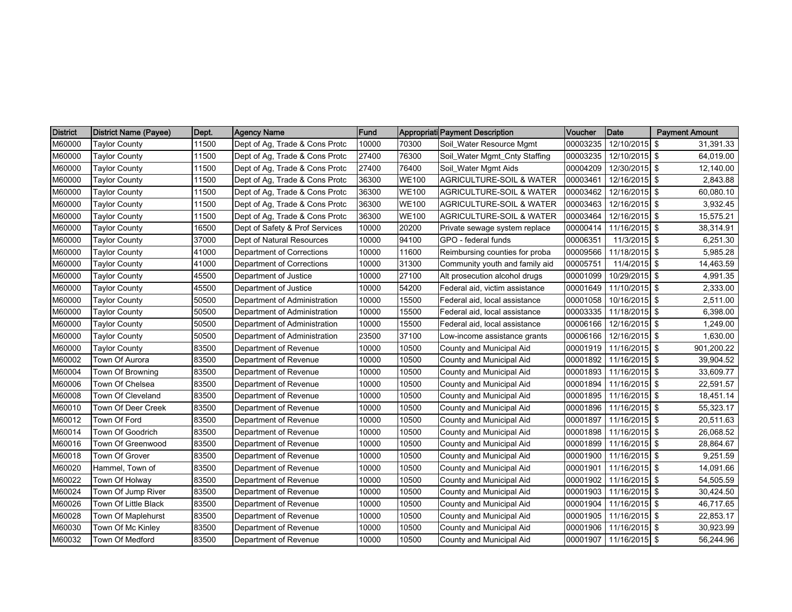| <b>District</b> | <b>District Name (Payee)</b> | Dept. | <b>Agency Name</b>             | <b>Fund</b> |              | Appropriati Payment Description     | Voucher  | Date          | <b>Payment Amount</b> |
|-----------------|------------------------------|-------|--------------------------------|-------------|--------------|-------------------------------------|----------|---------------|-----------------------|
| M60000          | Taylor County                | 11500 | Dept of Ag, Trade & Cons Protc | 10000       | 70300        | Soil_Water Resource Mgmt            | 00003235 | 12/10/2015 \$ | 31,391.33             |
| M60000          | <b>Taylor County</b>         | 11500 | Dept of Ag, Trade & Cons Protc | 27400       | 76300        | Soil_Water Mgmt_Cnty Staffing       | 00003235 | 12/10/2015 \$ | 64,019.00             |
| M60000          | <b>Taylor County</b>         | 11500 | Dept of Ag, Trade & Cons Protc | 27400       | 76400        | Soil_Water Mgmt Aids                | 00004209 | 12/30/2015 \$ | 12,140.00             |
| M60000          | <b>Taylor County</b>         | 11500 | Dept of Ag, Trade & Cons Protc | 36300       | <b>WE100</b> | AGRICULTURE-SOIL & WATER            | 00003461 | 12/16/2015 \$ | 2,843.88              |
| M60000          | <b>Taylor County</b>         | 11500 | Dept of Ag, Trade & Cons Protc | 36300       | <b>WE100</b> | <b>AGRICULTURE-SOIL &amp; WATER</b> | 00003462 | 12/16/2015 \$ | 60,080.10             |
| M60000          | <b>Taylor County</b>         | 11500 | Dept of Ag, Trade & Cons Protc | 36300       | <b>WE100</b> | <b>AGRICULTURE-SOIL &amp; WATER</b> | 00003463 | 12/16/2015 \$ | 3,932.45              |
| M60000          | <b>Taylor County</b>         | 11500 | Dept of Ag, Trade & Cons Protc | 36300       | <b>WE100</b> | <b>AGRICULTURE-SOIL &amp; WATER</b> | 00003464 | 12/16/2015 \$ | 15,575.21             |
| M60000          | Taylor County                | 16500 | Dept of Safety & Prof Services | 10000       | 20200        | Private sewage system replace       | 00000414 | 11/16/2015 \$ | 38,314.91             |
| M60000          | <b>Taylor County</b>         | 37000 | Dept of Natural Resources      | 10000       | 94100        | GPO - federal funds                 | 00006351 | 11/3/2015 \$  | 6,251.30              |
| M60000          | <b>Taylor County</b>         | 41000 | Department of Corrections      | 10000       | 11600        | Reimbursing counties for proba      | 00009566 | 11/18/2015 \$ | 5,985.28              |
| M60000          | <b>Taylor County</b>         | 41000 | Department of Corrections      | 10000       | 31300        | Community youth and family aid      | 00005751 | 11/4/2015 \$  | 14,463.59             |
| M60000          | <b>Taylor County</b>         | 45500 | Department of Justice          | 10000       | 27100        | Alt prosecution alcohol drugs       | 00001099 | 10/29/2015 \$ | 4,991.35              |
| M60000          | <b>Taylor County</b>         | 45500 | Department of Justice          | 10000       | 54200        | Federal aid, victim assistance      | 00001649 | 11/10/2015 \$ | 2,333.00              |
| M60000          | <b>Taylor County</b>         | 50500 | Department of Administration   | 10000       | 15500        | Federal aid, local assistance       | 00001058 | 10/16/2015 \$ | 2,511.00              |
| M60000          | <b>Taylor County</b>         | 50500 | Department of Administration   | 10000       | 15500        | Federal aid, local assistance       | 00003335 | 11/18/2015 \$ | 6,398.00              |
| M60000          | Taylor County                | 50500 | Department of Administration   | 10000       | 15500        | Federal aid, local assistance       | 00006166 | 12/16/2015 \$ | 1,249.00              |
| M60000          | <b>Taylor County</b>         | 50500 | Department of Administration   | 23500       | 37100        | Low-income assistance grants        | 00006166 | 12/16/2015 \$ | 1,630.00              |
| M60000          | <b>Taylor County</b>         | 83500 | Department of Revenue          | 10000       | 10500        | County and Municipal Aid            | 00001919 | 11/16/2015 \$ | 901,200.22            |
| M60002          | Town Of Aurora               | 83500 | Department of Revenue          | 10000       | 10500        | County and Municipal Aid            | 00001892 | 11/16/2015 \$ | 39,904.52             |
| M60004          | Town Of Browning             | 83500 | Department of Revenue          | 10000       | 10500        | County and Municipal Aid            | 00001893 | 11/16/2015 \$ | 33,609.77             |
| M60006          | Town Of Chelsea              | 83500 | Department of Revenue          | 10000       | 10500        | County and Municipal Aid            | 00001894 | 11/16/2015 \$ | 22,591.57             |
| M60008          | Town Of Cleveland            | 83500 | Department of Revenue          | 10000       | 10500        | County and Municipal Aid            | 00001895 | 11/16/2015 \$ | 18,451.14             |
| M60010          | Town Of Deer Creek           | 83500 | Department of Revenue          | 10000       | 10500        | County and Municipal Aid            | 00001896 | 11/16/2015 \$ | 55,323.17             |
| M60012          | Town Of Ford                 | 83500 | Department of Revenue          | 10000       | 10500        | County and Municipal Aid            | 00001897 | 11/16/2015 \$ | 20,511.63             |
| M60014          | Town Of Goodrich             | 83500 | Department of Revenue          | 10000       | 10500        | County and Municipal Aid            | 00001898 | 11/16/2015 \$ | 26,068.52             |
| M60016          | Town Of Greenwood            | 83500 | Department of Revenue          | 10000       | 10500        | County and Municipal Aid            | 00001899 | 11/16/2015 \$ | 28,864.67             |
| M60018          | Town Of Grover               | 83500 | Department of Revenue          | 10000       | 10500        | County and Municipal Aid            | 00001900 | 11/16/2015 \$ | 9,251.59              |
| M60020          | Hammel, Town of              | 83500 | Department of Revenue          | 10000       | 10500        | County and Municipal Aid            | 00001901 | 11/16/2015 \$ | 14,091.66             |
| M60022          | Town Of Holway               | 83500 | Department of Revenue          | 10000       | 10500        | County and Municipal Aid            | 00001902 | 11/16/2015 \$ | 54,505.59             |
| M60024          | Town Of Jump River           | 83500 | Department of Revenue          | 10000       | 10500        | County and Municipal Aid            | 00001903 | 11/16/2015 \$ | 30,424.50             |
| M60026          | Town Of Little Black         | 83500 | Department of Revenue          | 10000       | 10500        | County and Municipal Aid            | 00001904 | 11/16/2015 \$ | 46,717.65             |
| M60028          | Town Of Maplehurst           | 83500 | Department of Revenue          | 10000       | 10500        | County and Municipal Aid            | 00001905 | 11/16/2015 \$ | 22,853.17             |
| M60030          | Town Of Mc Kinley            | 83500 | Department of Revenue          | 10000       | 10500        | County and Municipal Aid            | 00001906 | 11/16/2015 \$ | 30,923.99             |
| M60032          | Town Of Medford              | 83500 | Department of Revenue          | 10000       | 10500        | County and Municipal Aid            | 00001907 | 11/16/2015 \$ | 56,244.96             |